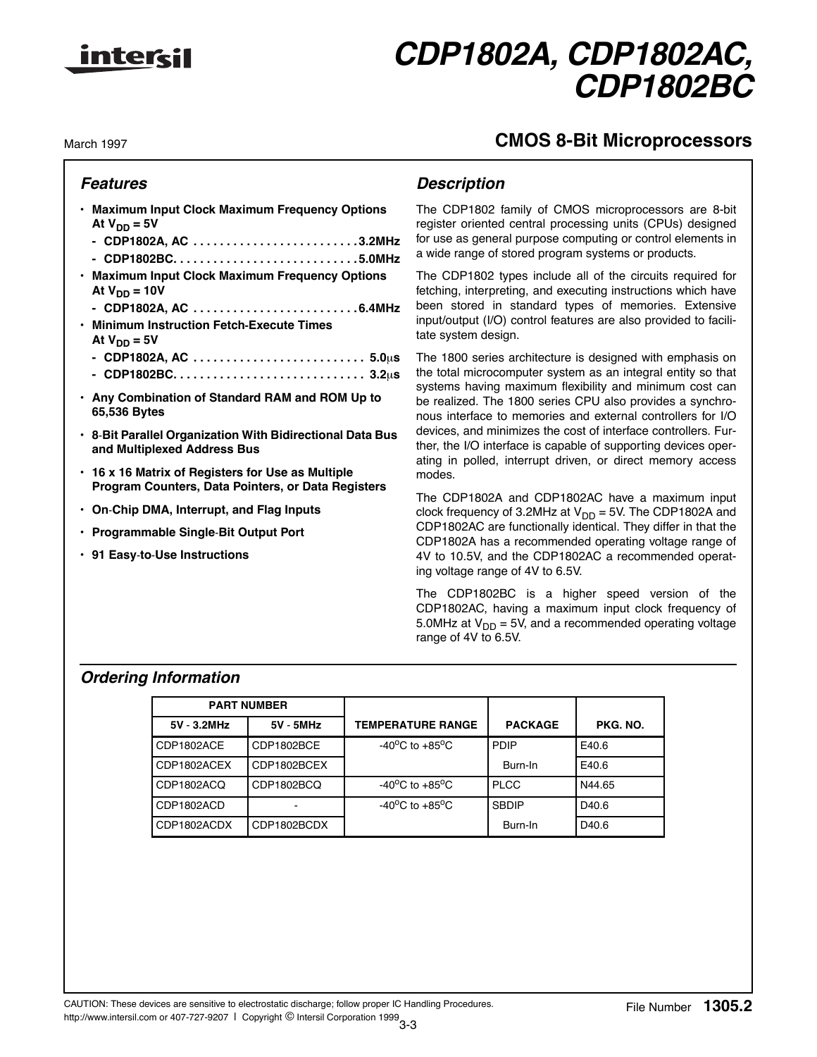

# **CMOS 8-Bit Microprocessors**

March 1997

# **Features**

- **Maximum Input Clock Maximum Frequency Options** At  $V_{DD} = 5V$ 
	- **CDP1802A, AC . . . . . . . . . . . . . . . . . . . . . . . . . 3.2MHz**
	- **CDP1802BC. . . . . . . . . . . . . . . . . . . . . . . . . . . . 5.0MHz**
- **Maximum Input Clock Maximum Frequency Options** At  $V_{DD} = 10V$
- **CDP1802A, AC . . . . . . . . . . . . . . . . . . . . . . . . . 6.4MHz • Minimum Instruction Fetch-Execute Times**
	- At  $V_{DD} = 5V$
	- **CDP1802A, AC . . . . . . . . . . . . . . . . . . . . . . . . . . 5.0**µ**s**
	- **CDP1802BC. . . . . . . . . . . . . . . . . . . . . . . . . . . . . 3.2**µ**s**
- **Any Combination of Standard RAM and ROM Up to 65,536 Bytes**
- **8**-**Bit Parallel Organization With Bidirectional Data Bus and Multiplexed Address Bus**
- **16 x 16 Matrix of Registers for Use as Multiple Program Counters, Data Pointers, or Data Registers**
- **On**-**Chip DMA, Interrupt, and Flag Inputs**
- **Programmable Single**-**Bit Output Port**
- **91 Easy**-**to**-**Use Instructions**

# **Description**

The CDP1802 family of CMOS microprocessors are 8-bit register oriented central processing units (CPUs) designed for use as general purpose computing or control elements in a wide range of stored program systems or products.

The CDP1802 types include all of the circuits required for fetching, interpreting, and executing instructions which have been stored in standard types of memories. Extensive input/output (I/O) control features are also provided to facilitate system design.

The 1800 series architecture is designed with emphasis on the total microcomputer system as an integral entity so that systems having maximum flexibility and minimum cost can be realized. The 1800 series CPU also provides a synchronous interface to memories and external controllers for I/O devices, and minimizes the cost of interface controllers. Further, the I/O interface is capable of supporting devices operating in polled, interrupt driven, or direct memory access modes.

The CDP1802A and CDP1802AC have a maximum input clock frequency of 3.2MHz at  $V_{DD} = 5V$ . The CDP1802A and CDP1802AC are functionally identical. They differ in that the CDP1802A has a recommended operating voltage range of 4V to 10.5V, and the CDP1802AC a recommended operating voltage range of 4V to 6.5V.

The CDP1802BC is a higher speed version of the CDP1802AC, having a maximum input clock frequency of 5.0MHz at  $V_{DD} = 5V$ , and a recommended operating voltage range of 4V to 6.5V.

# **Ordering Information**

| <b>PART NUMBER</b>     |             |                                    |                |                   |
|------------------------|-------------|------------------------------------|----------------|-------------------|
| 5V 3.2MHz<br>5V - 5MHz |             | <b>TEMPERATURE RANGE</b>           | <b>PACKAGE</b> | PKG. NO.          |
| CDP1802ACE             | CDP1802BCE  | $-40^{\circ}$ C to $+85^{\circ}$ C | <b>PDIP</b>    | E40.6             |
| CDP1802ACEX            | CDP1802BCEX |                                    | Burn-In        | E40.6             |
| CDP1802ACQ             | CDP1802BCQ  | $-40^{\circ}$ C to $+85^{\circ}$ C | <b>PLCC</b>    | N44.65            |
| CDP1802ACD             |             | $-40^{\circ}$ C to $+85^{\circ}$ C | <b>SBDIP</b>   | D <sub>40.6</sub> |
| CDP1802ACDX            | CDP1802BCDX |                                    | Burn-In        | D <sub>40.6</sub> |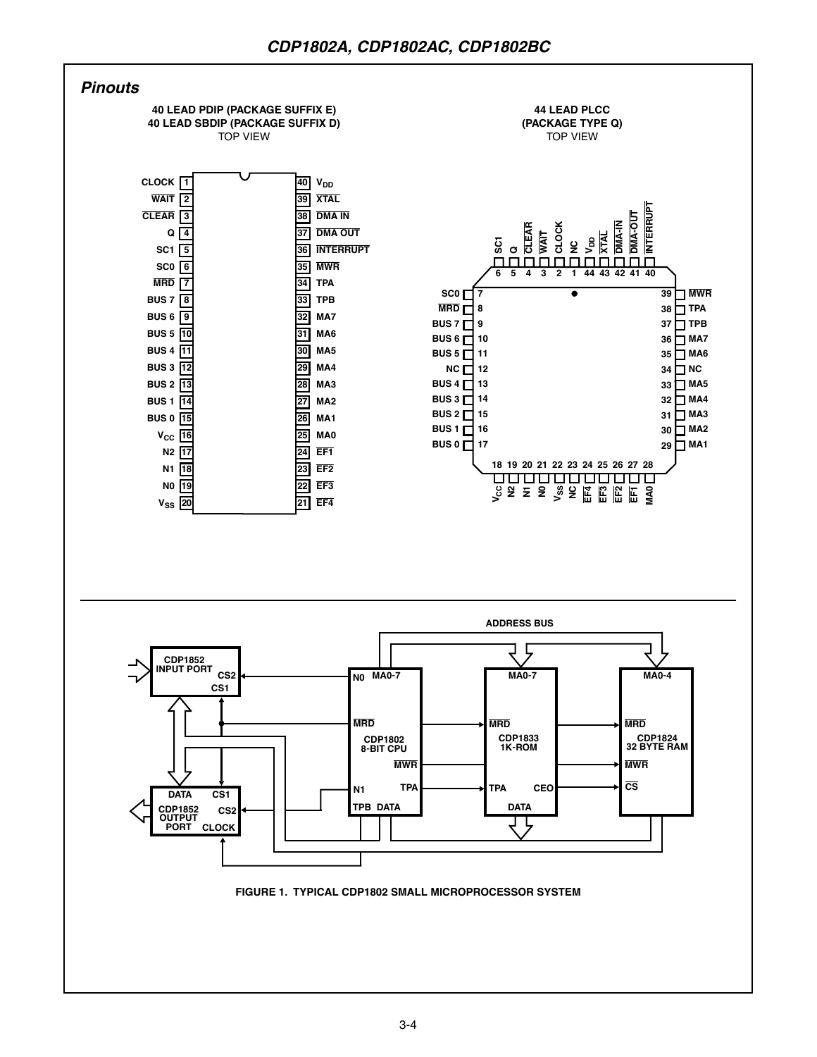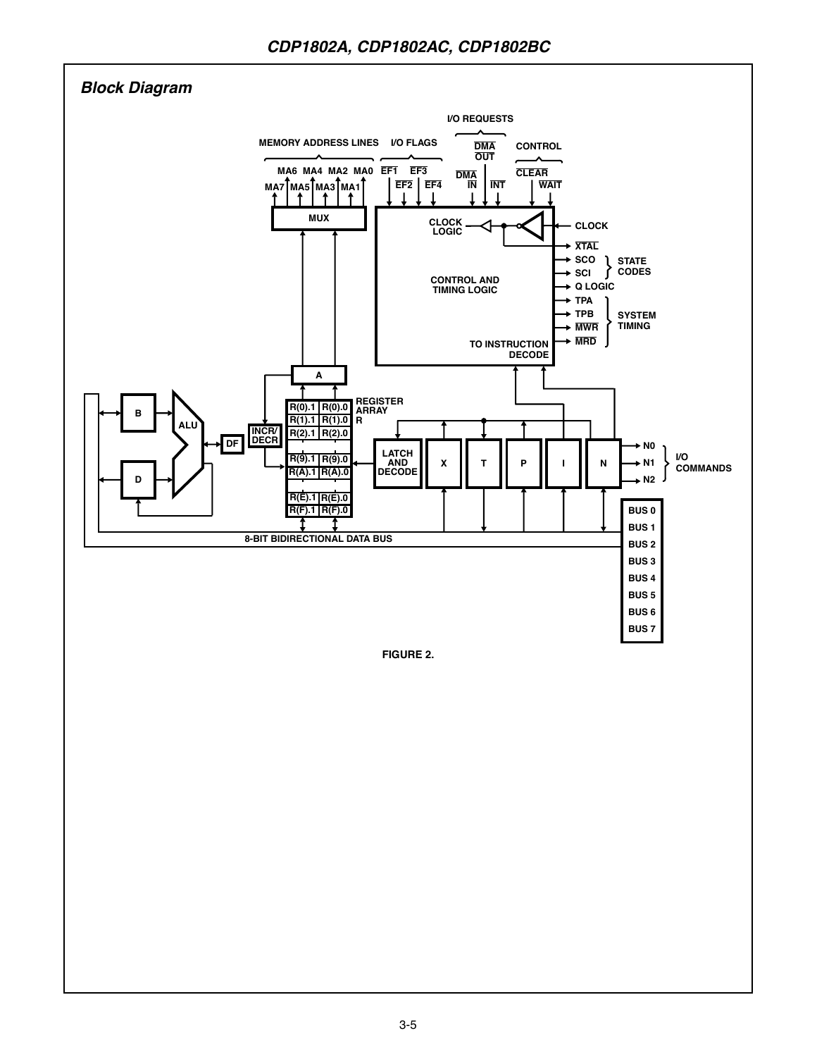

**FIGURE 2.**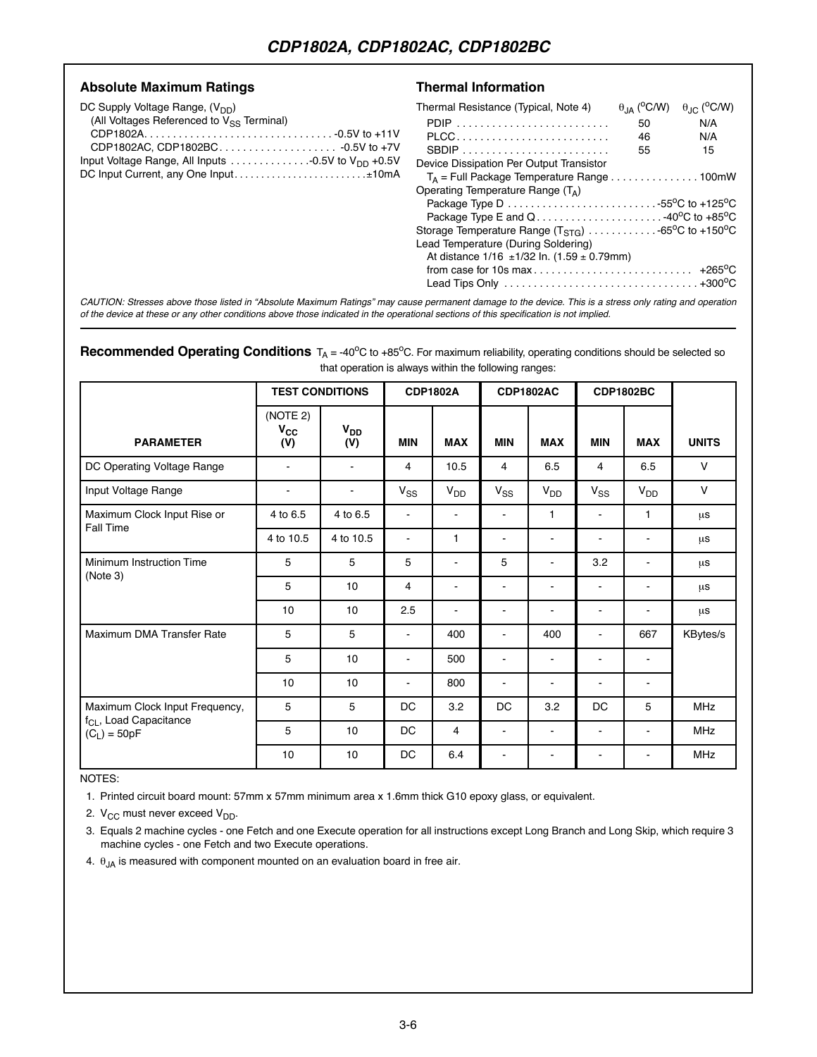#### Absolute Maximum Ratings **National State State Transformation**

| DC Supply Voltage Range, (V <sub>DD</sub> )                                          | Thermal Resistance (Typical, Note 4)                                                                                            | $\theta_{IA}$ ( <sup>o</sup> C/W) | $\theta_{\text{JC}}$ ( <sup>o</sup> C/W) |
|--------------------------------------------------------------------------------------|---------------------------------------------------------------------------------------------------------------------------------|-----------------------------------|------------------------------------------|
| (All Voltages Referenced to V <sub>SS</sub> Terminal)                                |                                                                                                                                 | 50                                | N/A                                      |
|                                                                                      | PLCC                                                                                                                            | 46                                | N/A                                      |
|                                                                                      |                                                                                                                                 | 55                                | 15                                       |
| Input Voltage Range, All Inputs $\ldots \ldots \ldots \ldots 0.5V$ to $V_{DD}$ +0.5V | Device Dissipation Per Output Transistor                                                                                        |                                   |                                          |
| DC Input Current, any One Input±10mA                                                 | $T_A$ = Full Package Temperature Range 100mW                                                                                    |                                   |                                          |
|                                                                                      | Operating Temperature Range $(T_A)$                                                                                             |                                   |                                          |
|                                                                                      | Package Type D $\ldots \ldots \ldots \ldots \ldots \ldots \ldots \ldots \ldots \ldots$ 55 <sup>o</sup> C to +125 <sup>o</sup> C |                                   |                                          |
|                                                                                      | Package Type E and Q 40 <sup>o</sup> C to +85 <sup>o</sup> C                                                                    |                                   |                                          |
|                                                                                      | Storage Temperature Range $(T_{STG})$ 65 <sup>o</sup> C to +150 <sup>o</sup> C                                                  |                                   |                                          |
|                                                                                      | Lead Temperature (During Soldering)                                                                                             |                                   |                                          |
|                                                                                      | At distance $1/16 \pm 1/32$ ln. $(1.59 \pm 0.79$ mm)                                                                            |                                   |                                          |
|                                                                                      |                                                                                                                                 |                                   |                                          |
|                                                                                      | Lead Tips Only $\ldots \ldots \ldots \ldots \ldots \ldots \ldots \ldots \ldots \ldots \ldots \ldots +300^{\circ}C$              |                                   |                                          |
|                                                                                      |                                                                                                                                 |                                   |                                          |

CAUTION: Stresses above those listed in "Absolute Maximum Ratings" may cause permanent damage to the device. This is a stress only rating and operation of the device at these or any other conditions above those indicated in the operational sections of this specification is not implied.

#### **Recommended Operating Conditions** T<sub>A</sub> = -40°C to +85°C. For maximum reliability, operating conditions should be selected so that operation is always within the following ranges:

|                                                                                        |                             | <b>TEST CONDITIONS</b> | <b>CDP1802A</b> |                |                | <b>CDP1802AC</b> |                | <b>CDP1802BC</b> |              |
|----------------------------------------------------------------------------------------|-----------------------------|------------------------|-----------------|----------------|----------------|------------------|----------------|------------------|--------------|
| <b>PARAMETER</b>                                                                       | (NOTE 2)<br>$V_{CC}$<br>(V) | V <sub>DD</sub><br>(V) | <b>MIN</b>      | <b>MAX</b>     | <b>MIN</b>     | <b>MAX</b>       | <b>MIN</b>     | <b>MAX</b>       | <b>UNITS</b> |
| DC Operating Voltage Range                                                             |                             |                        | 4               | 10.5           | 4              | 6.5              | 4              | 6.5              | $\mathsf{V}$ |
| Input Voltage Range                                                                    |                             | $\blacksquare$         | $V_{SS}$        | $V_{DD}$       | $V_{SS}$       | V <sub>DD</sub>  | $V_{SS}$       | V <sub>DD</sub>  | $\vee$       |
| Maximum Clock Input Rise or                                                            | 4 to 6.5                    | 4 to 6.5               | $\blacksquare$  | $\blacksquare$ | $\blacksquare$ | 1                | $\blacksquare$ | 1                | μS           |
| Fall Time                                                                              | 4 to 10.5                   | 4 to 10.5              | L.              | $\mathbf{1}$   | $\blacksquare$ | $\overline{a}$   | ۰              | $\blacksquare$   | μs           |
| Minimum Instruction Time                                                               | 5                           | 5                      | 5               | $\blacksquare$ | 5              | $\blacksquare$   | 3.2            | $\blacksquare$   | μS           |
| (Note 3)                                                                               | 5                           | 10                     | $\overline{4}$  |                | $\blacksquare$ |                  |                | ۰                | μs           |
|                                                                                        | 10                          | 10                     | 2.5             | $\blacksquare$ | $\blacksquare$ | $\blacksquare$   | $\blacksquare$ | $\blacksquare$   | μS           |
| Maximum DMA Transfer Rate                                                              | 5                           | 5                      | ۰               | 400            | $\blacksquare$ | 400              | ۰              | 667              | KBytes/s     |
|                                                                                        | 5                           | 10                     | $\blacksquare$  | 500            | $\blacksquare$ | $\sim$           | $\blacksquare$ | $\blacksquare$   |              |
|                                                                                        | 10                          | 10                     | $\blacksquare$  | 800            | $\blacksquare$ | $\blacksquare$   | $\blacksquare$ | $\sim$           |              |
| Maximum Clock Input Frequency,<br>f <sub>CL</sub> , Load Capacitance<br>$(C_L) = 50pF$ | 5                           | 5                      | DC              | 3.2            | DC             | 3.2              | DC             | 5                | <b>MHz</b>   |
|                                                                                        | 5                           | 10                     | <b>DC</b>       | $\overline{4}$ | $\blacksquare$ | $\blacksquare$   | ۰              | $\blacksquare$   | <b>MHz</b>   |
|                                                                                        | 10                          | 10                     | DC              | 6.4            |                |                  |                |                  | <b>MHz</b>   |

#### NOTES:

1. Printed circuit board mount: 57mm x 57mm minimum area x 1.6mm thick G10 epoxy glass, or equivalent.

2.  $V_{CC}$  must never exceed  $V_{DD}$ .

3. Equals 2 machine cycles - one Fetch and one Execute operation for all instructions except Long Branch and Long Skip, which require 3 machine cycles - one Fetch and two Execute operations.

4.  $\theta_{JA}$  is measured with component mounted on an evaluation board in free air.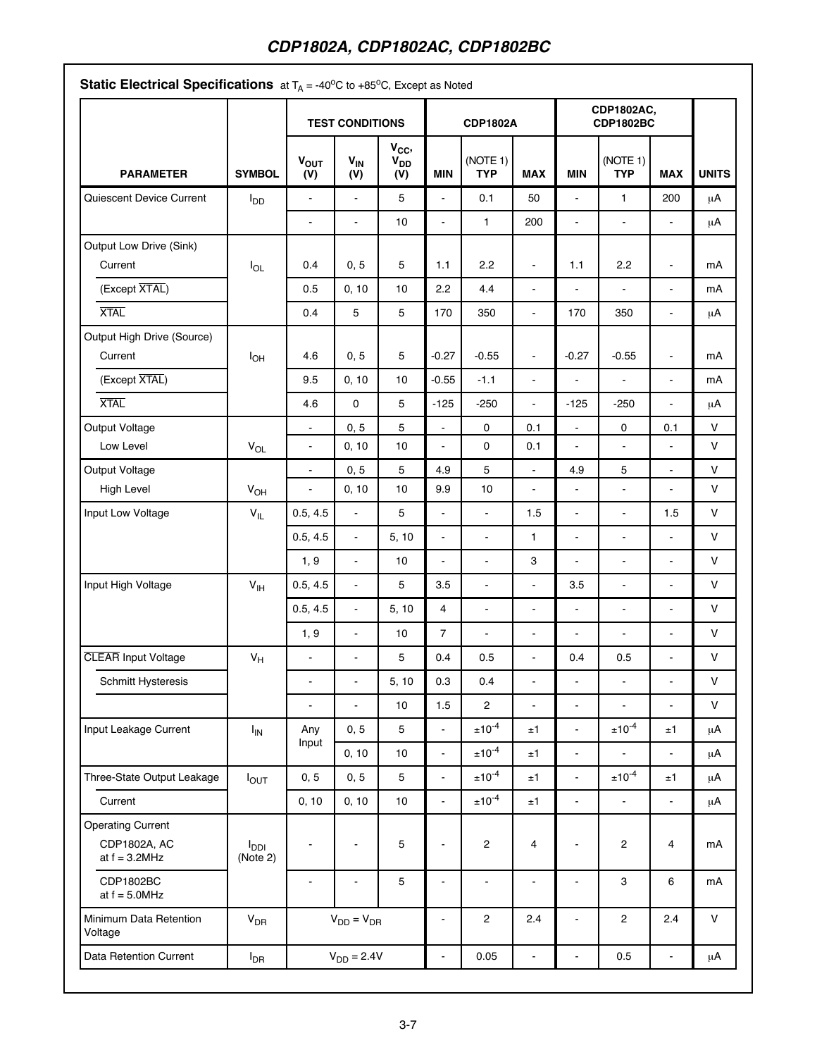|                                       |                                     | <b>TEST CONDITIONS</b>       |                          |                                    |                | <b>CDP1802A</b>        |                |                          | CDP1802AC,<br><b>CDP1802BC</b> |                |              |
|---------------------------------------|-------------------------------------|------------------------------|--------------------------|------------------------------------|----------------|------------------------|----------------|--------------------------|--------------------------------|----------------|--------------|
| <b>PARAMETER</b>                      | <b>SYMBOL</b>                       | <b>VOUT</b><br>(V)           | $V_{IN}$<br>(V)          | $V_{CC}$<br>V <sub>DD</sub><br>(V) | <b>MIN</b>     | (NOTE 1)<br><b>TYP</b> | <b>MAX</b>     | <b>MIN</b>               | (NOTE 1)<br><b>TYP</b>         | <b>MAX</b>     | <b>UNITS</b> |
| Quiescent Device Current              | $I_{DD}$                            | $\blacksquare$               | $\overline{a}$           | 5                                  | ä,             | 0.1                    | 50             | ä,                       | $\mathbf{1}$                   | 200            | μA           |
|                                       |                                     | ä,                           | ä,                       | 10                                 | ä,             | $\mathbf{1}$           | 200            | $\overline{\phantom{a}}$ | $\overline{a}$                 | $\mathbf{r}$   | $\mu$ A      |
| Output Low Drive (Sink)<br>Current    | $I_{OL}$                            | 0.4                          | 0, 5                     | 5                                  | 1.1            | 2.2                    | $\blacksquare$ | 1.1                      | 2.2                            | $\blacksquare$ | mA           |
| (Except XTAL)                         |                                     | 0.5                          | 0, 10                    | 10                                 | 2.2            | 4.4                    | $\blacksquare$ | ÷.                       | $\blacksquare$                 | $\blacksquare$ | mA           |
| <b>XTAL</b>                           |                                     | 0.4                          | 5                        | 5                                  | 170            | 350                    | L,             | 170                      | 350                            | $\blacksquare$ | μA           |
| Output High Drive (Source)<br>Current | $I_{OH}$                            | 4.6                          | 0, 5                     | 5                                  | $-0.27$        | $-0.55$                | $\blacksquare$ | $-0.27$                  | $-0.55$                        | $\blacksquare$ | mA           |
| (Except XTAL)                         |                                     | 9.5                          | 0, 10                    | 10                                 | $-0.55$        | $-1.1$                 | $\blacksquare$ | $\blacksquare$           | $\blacksquare$                 | $\blacksquare$ | mA           |
| <b>XTAL</b>                           |                                     | 4.6                          | $\mathsf{O}\xspace$      | 5                                  | $-125$         | $-250$                 | $\overline{a}$ | $-125$                   | $-250$                         | $\blacksquare$ | $\mu$ A      |
| Output Voltage                        |                                     | $\blacksquare$               | 0, 5                     | 5                                  | $\blacksquare$ | 0                      | 0.1            | $\blacksquare$           | $\pmb{0}$                      | 0.1            | $\vee$       |
| Low Level                             | $V_{OL}$                            | ä,                           | 0, 10                    | 10                                 | ä,             | 0                      | 0.1            | ä,                       | $\overline{\phantom{a}}$       | $\blacksquare$ | $\vee$       |
| Output Voltage                        |                                     | $\blacksquare$               | 0, 5                     | $\overline{5}$                     | 4.9            | 5                      | ä,             | 4.9                      | 5                              | $\blacksquare$ | $\vee$       |
| High Level                            | $V_{OH}$                            | $\blacksquare$               | 0, 10                    | 10                                 | 9.9            | 10                     | $\blacksquare$ | $\blacksquare$           | $\blacksquare$                 | $\blacksquare$ | $\vee$       |
| Input Low Voltage                     | $\mathsf{V}_{\mathsf{IL}}$          | 0.5, 4.5                     | $\frac{1}{2}$            | 5                                  | $\blacksquare$ | $\blacksquare$         | 1.5            | $\blacksquare$           | $\blacksquare$                 | 1.5            | $\vee$       |
|                                       |                                     | 0.5, 4.5                     | $\blacksquare$           | 5, 10                              | $\blacksquare$ | $\blacksquare$         | 1              | $\blacksquare$           | ä,                             | $\blacksquare$ | $\vee$       |
|                                       |                                     | 1, 9                         | $\blacksquare$           | 10                                 | $\blacksquare$ | $\blacksquare$         | 3              | $\overline{a}$           | $\blacksquare$                 | $\blacksquare$ | $\vee$       |
| Input High Voltage                    | V <sub>IH</sub>                     | 0.5, 4.5                     | $\blacksquare$           | 5                                  | 3.5            | $\blacksquare$         | $\blacksquare$ | 3.5                      | $\blacksquare$                 | $\blacksquare$ | $\vee$       |
|                                       |                                     | 0.5, 4.5                     | $\frac{1}{2}$            | 5, 10                              | $\overline{4}$ | $\blacksquare$         | $\blacksquare$ | $\blacksquare$           | $\blacksquare$                 | $\blacksquare$ | $\vee$       |
|                                       |                                     | 1, 9                         | $\blacksquare$           | 10                                 | $\overline{7}$ | $\blacksquare$         | $\blacksquare$ | ä,                       | $\blacksquare$                 | $\blacksquare$ | $\vee$       |
| <b>CLEAR</b> Input Voltage            | $V_H$                               | $\blacksquare$               | ÷                        | 5                                  | 0.4            | 0.5                    | $\blacksquare$ | 0.4                      | 0.5                            | $\blacksquare$ | $\vee$       |
| Schmitt Hysteresis                    |                                     | ٠                            | $\overline{\phantom{0}}$ | 5, 10                              | 0.3            | 0.4                    |                |                          | ۰                              |                | $\vee$       |
|                                       |                                     | $\blacksquare$               | ÷                        | 10                                 | 1.5            | 2                      | $\blacksquare$ | $\blacksquare$           | ÷,                             | $\blacksquare$ | $\vee$       |
| Input Leakage Current                 | $I_{IN}$                            | Any                          | 0, 5                     | 5                                  | $\blacksquare$ | $±10^{-4}$             | ±1             | ÷.                       | $\pm 10^{-4}$                  | ±1             | μA           |
|                                       |                                     | Input                        | 0, 10                    | 10                                 | $\blacksquare$ | $\pm 10^{-4}$          | ±1             | $\blacksquare$           | ÷,                             | $\blacksquare$ | μA           |
| Three-State Output Leakage            | $I_{OUT}$                           | 0, 5                         | 0, 5                     | 5                                  | $\blacksquare$ | $\pm 10^{-4}$          | ±1             | ÷.                       | $\pm 10^{-4}$                  | ±1             | μA           |
| Current                               |                                     | 0, 10                        | 0, 10                    | 10                                 | $\blacksquare$ | $±10^{-4}$             | ±1             | $\blacksquare$           | $\blacksquare$                 | ÷.             | μA           |
| <b>Operating Current</b>              |                                     |                              |                          |                                    |                |                        |                |                          |                                |                |              |
| CDP1802A, AC<br>at $f = 3.2$ MHz      | <b>I</b> <sub>DDI</sub><br>(Note 2) | $\blacksquare$               | $\blacksquare$           | 5                                  | $\blacksquare$ | 2                      | 4              | $\blacksquare$           | $\overline{\mathbf{c}}$        | 4              | mA           |
| CDP1802BC<br>at $f = 5.0$ MHz         |                                     | $\qquad \qquad \blacksquare$ | ٠                        | 5                                  | $\blacksquare$ | $\blacksquare$         | $\blacksquare$ | $\blacksquare$           | 3                              | 6              | mA           |
| Minimum Data Retention<br>Voltage     | <b>V<sub>DR</sub></b>               |                              | $V_{DD} = V_{DR}$        |                                    | $\blacksquare$ | $\overline{2}$         | 2.4            | $\blacksquare$           | $\mathbf{2}$                   | 2.4            | $\vee$       |
| Data Retention Current                | $I_{\text{DR}}$                     |                              | $V_{DD} = 2.4V$          |                                    | $\blacksquare$ | 0.05                   | $\blacksquare$ | $\blacksquare$           | 0.5                            | $\blacksquare$ | $\mu A$      |

**Static Electrical Specifications** at  $T_A = -40^\circ \text{C}$  to  $+85^\circ \text{C}$ . Except as Noted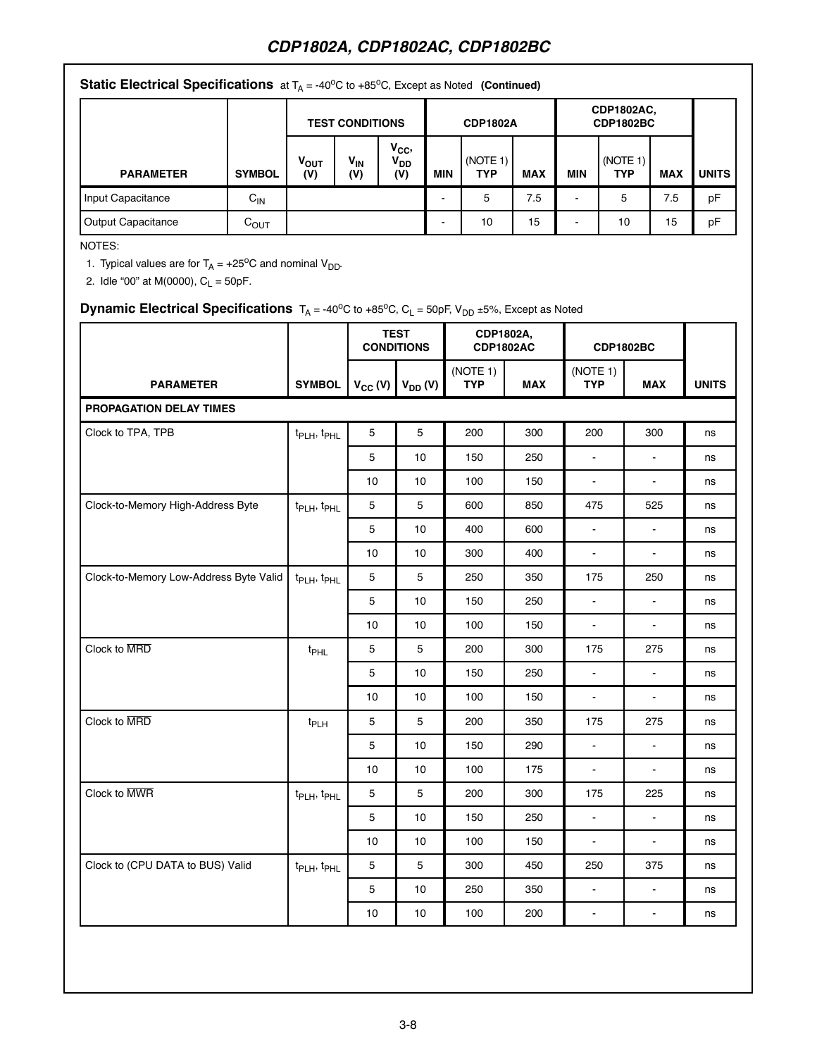| <b>Static Electrical Specifications</b> at $T_A = -40^{\circ}\text{C}$ to $+85^{\circ}\text{C}$ , Except as Noted (Continued) |                  |                        |                        |                                    |                 |                        |            |                                |                 |            |              |
|-------------------------------------------------------------------------------------------------------------------------------|------------------|------------------------|------------------------|------------------------------------|-----------------|------------------------|------------|--------------------------------|-----------------|------------|--------------|
|                                                                                                                               |                  | <b>TEST CONDITIONS</b> |                        |                                    | <b>CDP1802A</b> |                        |            | CDP1802AC,<br><b>CDP1802BC</b> |                 |            |              |
| <b>PARAMETER</b>                                                                                                              | <b>SYMBOL</b>    | <b>VOUT</b><br>(V)     | V <sub>IN</sub><br>(V) | $V_{CC}$<br>V <sub>DD</sub><br>(V) | MIN             | (NOTE 1)<br><b>TYP</b> | <b>MAX</b> | <b>MIN</b>                     | (NOTE 1)<br>TYP | <b>MAX</b> | <b>UNITS</b> |
| Input Capacitance                                                                                                             | $C_{IN}$         |                        |                        |                                    |                 | 5                      | 7.5        | $\overline{\phantom{0}}$       | 5               | 7.5        | pF           |
| <b>Output Capacitance</b>                                                                                                     | $C_{\text{OUT}}$ |                        |                        |                                    |                 | 10                     | 15         |                                | 10              | 15         | pF           |

NOTES:

1. Typical values are for  $T_A = +25^{\circ}C$  and nominal  $V_{DD}$ .

2. Idle "00" at M(0000),  $C_L = 50pF$ .

# **Dynamic Electrical Specifications**  $T_A = -40^{\circ}C$  to  $+85^{\circ}C$ ,  $C_L = 50pF$ ,  $V_{DD} = 5\%$ , Except as Noted

|                                        |                                     |                 | <b>TEST</b><br><b>CONDITIONS</b> | CDP1802A,              | <b>CDP1802AC</b> | <b>CDP1802BC</b>         |                |              |
|----------------------------------------|-------------------------------------|-----------------|----------------------------------|------------------------|------------------|--------------------------|----------------|--------------|
| <b>PARAMETER</b>                       | <b>SYMBOL</b>                       | $V_{CC} (V)$    | $V_{DD} (V)$                     | (NOTE 1)<br><b>TYP</b> | <b>MAX</b>       | (NOTE 1)<br><b>TYP</b>   | <b>MAX</b>     | <b>UNITS</b> |
| <b>PROPAGATION DELAY TIMES</b>         |                                     |                 |                                  |                        |                  |                          |                |              |
| Clock to TPA, TPB                      | t <sub>PLH</sub> , t <sub>PHL</sub> | $5\phantom{.0}$ | 5                                | 200                    | 300              | 200                      | 300            | ns           |
|                                        |                                     | 5               | 10                               | 150                    | 250              | ä,                       | $\sim$         | ns           |
|                                        |                                     | 10              | 10                               | 100                    | 150              | $\omega$                 | $\sim$         | ns           |
| Clock-to-Memory High-Address Byte      | t <sub>PLH</sub> , t <sub>PHL</sub> | 5               | 5                                | 600                    | 850              | 475                      | 525            | ns           |
|                                        |                                     | $5\phantom{.0}$ | 10                               | 400                    | 600              | $\omega$                 | $\mathbf{r}$   | ns           |
|                                        |                                     | $10$            | 10                               | 300                    | 400              | $\sim$                   | $\mathbb{Z}^2$ | ns           |
| Clock-to-Memory Low-Address Byte Valid | t <sub>PLH</sub> , t <sub>PHL</sub> | 5               | 5                                | 250                    | 350              | 175                      | 250            | ns           |
|                                        |                                     | 5               | 10                               | 150                    | 250              | $\blacksquare$           | $\omega$       | ns           |
|                                        |                                     | 10              | 10                               | 100                    | 150              | $\blacksquare$           | $\blacksquare$ | ns           |
| Clock to MRD                           | t <sub>PHL</sub>                    | 5               | 5                                | 200                    | 300              | 175                      | 275            | ns           |
|                                        |                                     | 5               | 10                               | 150                    | 250              | $\blacksquare$           | $\blacksquare$ | ns           |
|                                        |                                     | 10              | 10 <sup>1</sup>                  | 100                    | 150              | $\overline{\phantom{a}}$ | $\mathbf{r}$   | ns           |
| Clock to MRD                           | t <sub>PLH</sub>                    | $5\phantom{.0}$ | $5\phantom{.0}$                  | 200                    | 350              | 175                      | 275            | ns           |
|                                        |                                     | 5               | 10                               | 150                    | 290              | $\overline{\phantom{a}}$ | $\mathbf{r}$   | ns           |
|                                        |                                     | 10              | 10                               | 100                    | 175              | $\blacksquare$           | $\omega$       | ns           |
| Clock to MWR                           | t <sub>PLH</sub> , t <sub>PHL</sub> | 5               | 5                                | 200                    | 300              | 175                      | 225            | ns           |
|                                        |                                     | 5               | 10                               | 150                    | 250              | $\omega$                 | $\omega$       | ns           |
|                                        |                                     | 10              | 10                               | 100                    | 150              | $\omega$                 | $\omega$       | ns           |
| Clock to (CPU DATA to BUS) Valid       | t <sub>PLH</sub> , t <sub>PHL</sub> | 5               | $5\phantom{.0}$                  | 300                    | 450              | 250                      | 375            | ns           |
|                                        |                                     | $5\phantom{.0}$ | 10                               | 250                    | 350              | $\sim$                   | $\sim$         | ns           |
|                                        |                                     | 10              | 10                               | 100                    | 200              | $\blacksquare$           | $\blacksquare$ | ns           |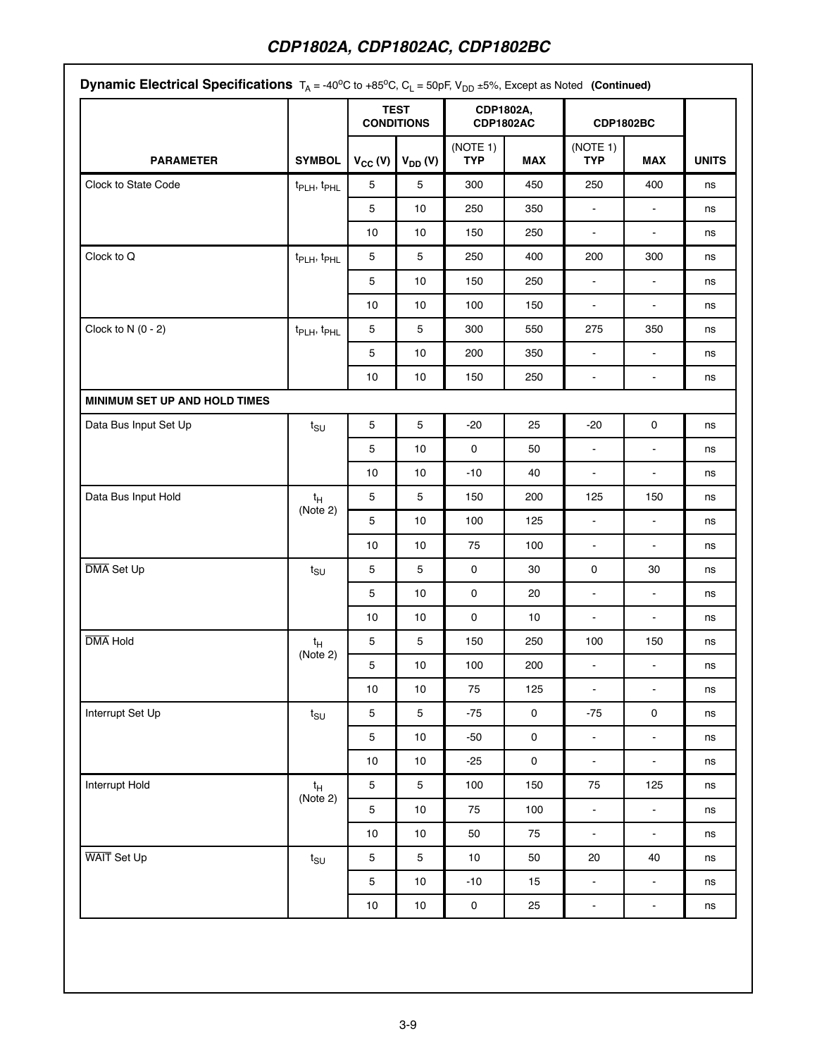|                               |                                     |              | <b>TEST</b><br><b>CONDITIONS</b> | CDP1802A,              | <b>CDP1802AC</b> | <b>CDP1802BC</b>       |                     |              |
|-------------------------------|-------------------------------------|--------------|----------------------------------|------------------------|------------------|------------------------|---------------------|--------------|
| <b>PARAMETER</b>              | <b>SYMBOL</b>                       | $V_{CC} (V)$ | $V_{DD} (V)$                     | (NOTE 1)<br><b>TYP</b> | <b>MAX</b>       | (NOTE 1)<br><b>TYP</b> | <b>MAX</b>          | <b>UNITS</b> |
| Clock to State Code           | t <sub>PLH</sub> , t <sub>PHL</sub> | 5            | 5                                | 300                    | 450              | 250                    | 400                 | ns           |
|                               |                                     | 5            | 10                               | 250                    | 350              | $\blacksquare$         | $\blacksquare$      | ns           |
|                               |                                     | 10           | 10                               | 150                    | 250              | $\blacksquare$         | $\blacksquare$      | ns           |
| Clock to Q                    | t <sub>PLH</sub> , t <sub>PHL</sub> | 5            | 5                                | 250                    | 400              | 200                    | 300                 | ns           |
|                               |                                     | 5            | 10                               | 150                    | 250              | $\blacksquare$         | $\blacksquare$      | ns           |
|                               |                                     | 10           | 10                               | 100                    | 150              | $\blacksquare$         | $\blacksquare$      | ns           |
| Clock to $N(0 - 2)$           | t <sub>PLH</sub> , t <sub>PHL</sub> | 5            | 5                                | 300                    | 550              | 275                    | 350                 | ns           |
|                               |                                     | 5            | 10                               | 200                    | 350              | $\blacksquare$         | $\blacksquare$      | ns           |
|                               |                                     | 10           | 10 <sub>1</sub>                  | 150                    | 250              | $\blacksquare$         | $\blacksquare$      | ns           |
| MINIMUM SET UP AND HOLD TIMES |                                     |              |                                  |                        |                  |                        |                     |              |
| Data Bus Input Set Up         | $t_{\text{SU}}$                     | $\mathbf 5$  | 5                                | $-20$                  | 25               | $-20$                  | 0                   | ns           |
|                               |                                     | $\mathbf 5$  | 10                               | 0                      | 50               | $\blacksquare$         | $\blacksquare$      | ns           |
|                               |                                     | 10           | 10                               | -10                    | 40               | $\blacksquare$         | $\blacksquare$      | ns           |
| Data Bus Input Hold           | $t_H$                               | 5            | 5                                | 150                    | 200              | 125                    | 150                 | ns           |
|                               | (Note 2)                            | $\mathbf 5$  | 10                               | 100                    | 125              | $\blacksquare$         | $\blacksquare$      | ns           |
|                               |                                     | 10           | 10                               | 75                     | 100              | $\blacksquare$         | $\blacksquare$      | ns           |
| DMA Set Up                    | $t_{\text{SU}}$                     | 5            | 5                                | 0                      | 30               | 0                      | 30                  | ns           |
|                               |                                     | 5            | 10 <sub>1</sub>                  | 0                      | 20               | $\Box$                 | $\blacksquare$      | ns           |
|                               |                                     | 10           | 10                               | 0                      | 10               | $\blacksquare$         | $\blacksquare$      | ns           |
| <b>DMA</b> Hold               | $t_H$                               | $\mathbf 5$  | 5                                | 150                    | 250              | 100                    | 150                 | ns           |
|                               | (Note 2)                            | 5            | 10 <sub>1</sub>                  | 100                    | 200              | $\blacksquare$         | $\sim$              | ns           |
|                               |                                     | 10           | 10                               | 75                     | 125              | $\blacksquare$         | ÷.                  | ns           |
| Interrupt Set Up              | $t_{\text{SU}}$                     | $\mathbf 5$  | $\mathbf 5$                      | $-75$                  | 0                | $-75$                  | $\mathsf{O}\xspace$ | ns           |
|                               |                                     | $\mathbf 5$  | 10                               | $-50$                  | 0                | $\frac{1}{\pi}$        | $\blacksquare$      | ns           |
|                               |                                     | 10           | 10                               | $-25$                  | $\mathsf 0$      | $\Box$                 | $\blacksquare$      | ns           |
| Interrupt Hold                | $t_H$                               | $\mathbf 5$  | 5                                | 100                    | 150              | 75                     | 125                 | ns           |
|                               | (Note 2)                            | $\mathbf 5$  | 10                               | 75                     | 100              | $\blacksquare$         | $\blacksquare$      | ns           |
|                               |                                     | 10           | 10                               | 50                     | 75               | $\blacksquare$         | $\blacksquare$      | ns           |
| WAIT Set Up                   | $t_{\text{SU}}$                     | 5            | 5                                | 10                     | 50               | 20                     | 40                  | ns           |
|                               |                                     | $\mathbf 5$  | 10                               | $-10$                  | 15               | $\blacksquare$         | $\blacksquare$      | ns           |
|                               |                                     | $10\,$       | $10$                             | $\mathbf 0$            | 25               | $\blacksquare$         | $\blacksquare$      | ns           |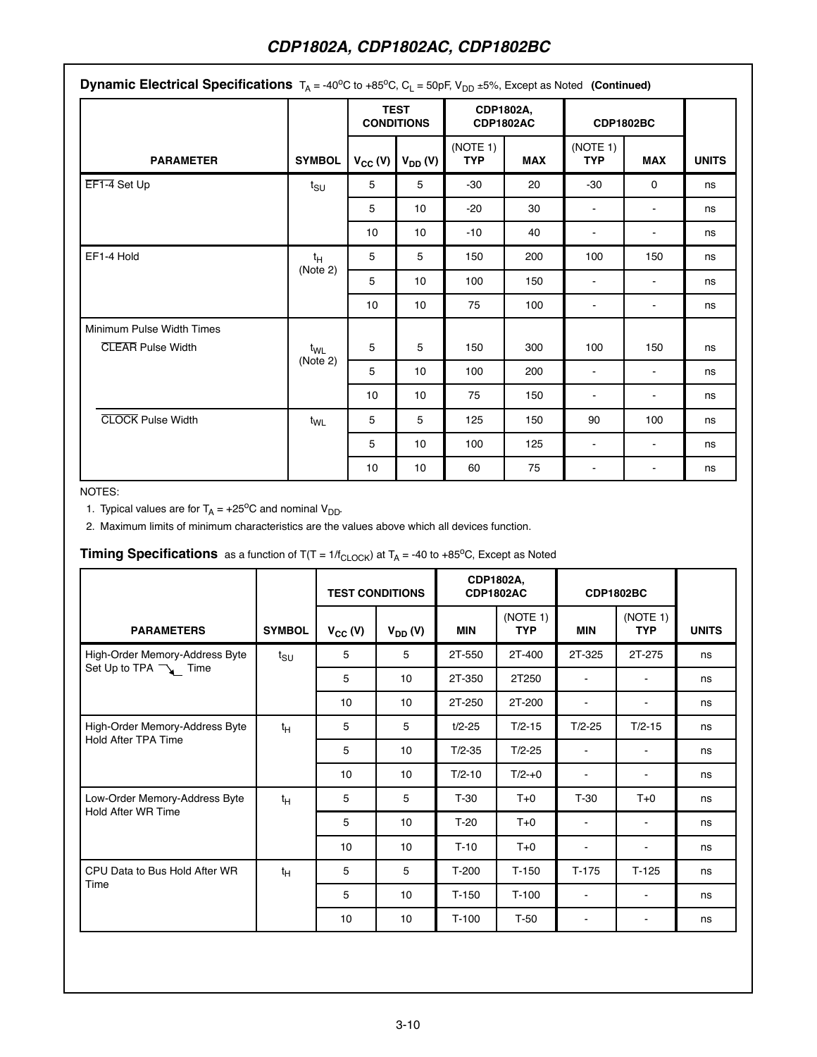| <b>Dynamic Electrical Specifications</b> $T_A = -40^{\circ}$ C to $+85^{\circ}$ C, C <sub>L</sub> = 50pF, V <sub>DD</sub> $\pm 5\%$ , Except as Noted (Continued) |                               |              |                                  |                               |            |                        |                |              |  |
|-------------------------------------------------------------------------------------------------------------------------------------------------------------------|-------------------------------|--------------|----------------------------------|-------------------------------|------------|------------------------|----------------|--------------|--|
|                                                                                                                                                                   |                               |              | <b>TEST</b><br><b>CONDITIONS</b> | CDP1802A,<br><b>CDP1802AC</b> |            | <b>CDP1802BC</b>       |                |              |  |
| <b>PARAMETER</b>                                                                                                                                                  | <b>SYMBOL</b>                 | $V_{CC} (V)$ | $V_{DD} (V)$                     | (NOTE 1)<br><b>TYP</b>        | <b>MAX</b> | (NOTE 1)<br><b>TYP</b> | <b>MAX</b>     | <b>UNITS</b> |  |
| EF1-4 Set Up                                                                                                                                                      | $t_{\scriptstyle\text{SU}}$   | 5            | 5                                | -30                           | 20         | -30                    | $\Omega$       | ns           |  |
|                                                                                                                                                                   |                               | 5            | 10                               | $-20$                         | 30         | $\blacksquare$         | $\blacksquare$ | ns           |  |
|                                                                                                                                                                   |                               | 10           | 10                               | $-10$                         | 40         |                        | $\blacksquare$ | ns           |  |
| EF1-4 Hold                                                                                                                                                        | $t_H$                         | 5            | 5                                | 150                           | 200        | 100                    | 150            | ns           |  |
|                                                                                                                                                                   | (Note 2)                      | 5            | 10                               | 100                           | 150        |                        |                | ns           |  |
|                                                                                                                                                                   |                               | 10           | 10                               | 75                            | 100        | $\blacksquare$         |                | ns           |  |
| Minimum Pulse Width Times                                                                                                                                         |                               |              |                                  |                               |            |                        |                |              |  |
| <b>CLEAR Pulse Width</b>                                                                                                                                          | $t_{\mathsf{WL}}$<br>(Note 2) | 5            | 5                                | 150                           | 300        | 100                    | 150            | ns           |  |
|                                                                                                                                                                   |                               | 5            | 10                               | 100                           | 200        | $\sim$                 |                | ns           |  |
|                                                                                                                                                                   |                               | 10           | 10 <sup>10</sup>                 | 75                            | 150        | $\blacksquare$         |                | ns           |  |
| <b>CLOCK Pulse Width</b>                                                                                                                                          | $t_{WL}$                      | 5            | 5                                | 125                           | 150        | 90                     | 100            | ns           |  |
|                                                                                                                                                                   |                               | 5            | 10 <sup>1</sup>                  | 100                           | 125        |                        |                | ns           |  |
|                                                                                                                                                                   |                               | 10           | 10                               | 60                            | 75         |                        |                | ns           |  |

# NOTES:

1. Typical values are for  $T_A = +25^{\circ}C$  and nominal  $V_{DD}$ .

2. Maximum limits of minimum characteristics are the values above which all devices function.

# **Timing Specifications** as a function of  $T(T = 1/f_{CLOCK})$  at  $T_A = -40$  to  $+85^{\circ}$ C, Except as Noted

|                                                     |                             | <b>TEST CONDITIONS</b> |              | CDP1802A,<br><b>CDP1802AC</b> |                        |                          | <b>CDP1802BC</b>       |              |
|-----------------------------------------------------|-----------------------------|------------------------|--------------|-------------------------------|------------------------|--------------------------|------------------------|--------------|
| <b>PARAMETERS</b>                                   | <b>SYMBOL</b>               | $V_{CC} (V)$           | $V_{DD} (V)$ | <b>MIN</b>                    | (NOTE 1)<br><b>TYP</b> | <b>MIN</b>               | (NOTE 1)<br><b>TYP</b> | <b>UNITS</b> |
| High-Order Memory-Address Byte                      | $t_{\scriptstyle\text{SU}}$ | 5                      | 5            | 2T-550                        | 2T-400                 | 2T-325                   | 2T-275                 | ns           |
| Set Up to TPA $\rightarrow$ Time                    |                             | 5                      | 10           | 2T-350                        | 2T250                  | $\blacksquare$           | $\sim$                 | ns           |
|                                                     |                             | 10                     | 10           | 2T-250                        | 2T-200                 | $\blacksquare$           | $\blacksquare$         | ns           |
| High-Order Memory-Address Byte                      | $t_H$                       | 5                      | 5            | $t/2 - 25$                    | $T/2-15$               | $T/2 - 25$               | $T/2 - 15$             | ns           |
| Hold After TPA Time                                 |                             | 5                      | 10           | $T/2 - 35$                    | $T/2 - 25$             | $\blacksquare$           |                        | ns           |
|                                                     |                             | 10                     | 10           | $T/2 - 10$                    | $T/2 - +0$             | $\blacksquare$           | ٠                      | ns           |
| Low-Order Memory-Address Byte<br>Hold After WR Time | $t_H$                       | 5                      | 5            | $T-30$                        | $T+0$                  | $T-30$                   | $T+0$                  | ns           |
|                                                     |                             | 5                      | 10           | $T-20$                        | $T+0$                  | $\blacksquare$           | $\blacksquare$         | ns           |
|                                                     |                             | 10                     | 10           | $T-10$                        | $T+0$                  | $\overline{\phantom{0}}$ | $\blacksquare$         | ns           |
| CPU Data to Bus Hold After WR                       | $t_H$                       | 5                      | 5            | $T-200$                       | $T-150$                | $T-175$                  | $T-125$                | ns           |
| Time                                                |                             | 5                      | 10           | $T-150$                       | $T-100$                | $\blacksquare$           | $\blacksquare$         | ns           |
|                                                     |                             | 10                     | 10           | $T-100$                       | $T-50$                 | $\blacksquare$           | $\blacksquare$         | ns           |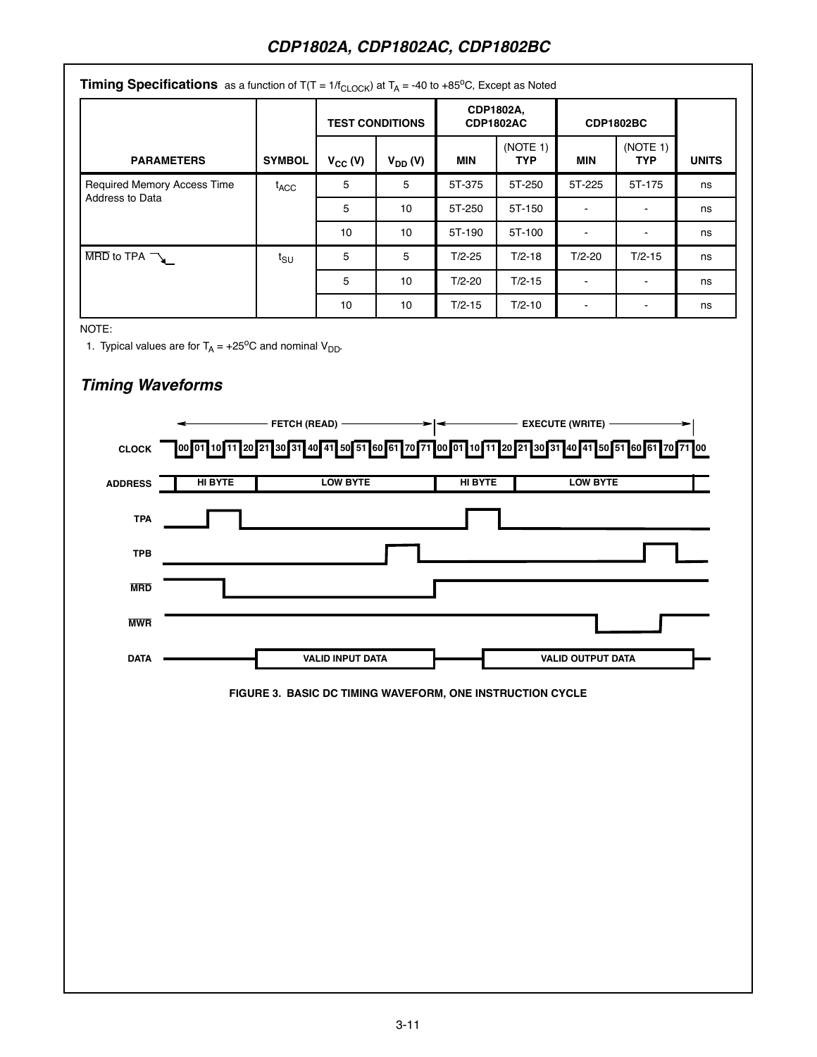|                                                         | <b>Timing Specifications</b> as a function of $T(T = 1/f_{\text{CLOCK}})$ at $T_A = -40$ to +85 <sup>o</sup> C, Except as Noted |              |                        |                               |                        |                  |                        |              |  |  |  |  |
|---------------------------------------------------------|---------------------------------------------------------------------------------------------------------------------------------|--------------|------------------------|-------------------------------|------------------------|------------------|------------------------|--------------|--|--|--|--|
|                                                         |                                                                                                                                 |              | <b>TEST CONDITIONS</b> | CDP1802A,<br><b>CDP1802AC</b> |                        | <b>CDP1802BC</b> |                        |              |  |  |  |  |
| <b>PARAMETERS</b>                                       | <b>SYMBOL</b>                                                                                                                   | $V_{CC} (V)$ | $V_{DD} (V)$           | MIN                           | (NOTE 1)<br><b>TYP</b> | MIN              | (NOTE 1)<br><b>TYP</b> | <b>UNITS</b> |  |  |  |  |
| <b>Required Memory Access Time</b>                      | $t_{\rm ACC}$                                                                                                                   | 5            | 5                      | 5T-375                        | 5T-250                 | 5T-225           | 5T-175                 | ns           |  |  |  |  |
| Address to Data                                         |                                                                                                                                 | 5            | 10                     | 5T-250                        | 5T-150                 |                  |                        | ns           |  |  |  |  |
|                                                         |                                                                                                                                 | 10           | 10                     | 5T-190                        | 5T-100                 |                  |                        | ns           |  |  |  |  |
| $\overline{\text{MRD}}$ to TPA $\overline{\phantom{a}}$ | $t_{\scriptstyle\text{SU}}$                                                                                                     | 5            | 5                      | $T/2 - 25$                    | $T/2 - 18$             | $T/2 - 20$       | $T/2 - 15$             | ns           |  |  |  |  |
|                                                         |                                                                                                                                 | 5            | 10                     | $T/2 - 20$                    | $T/2 - 15$             |                  |                        | ns           |  |  |  |  |
|                                                         |                                                                                                                                 | 10           | 10                     | $T/2 - 15$                    | $T/2 - 10$             | ۰                | $\blacksquare$         | ns           |  |  |  |  |

NOTE:

1. Typical values are for  $T_A = +25$ <sup>o</sup>C and nominal  $V_{DD}$ .

# **Timing Waveforms**

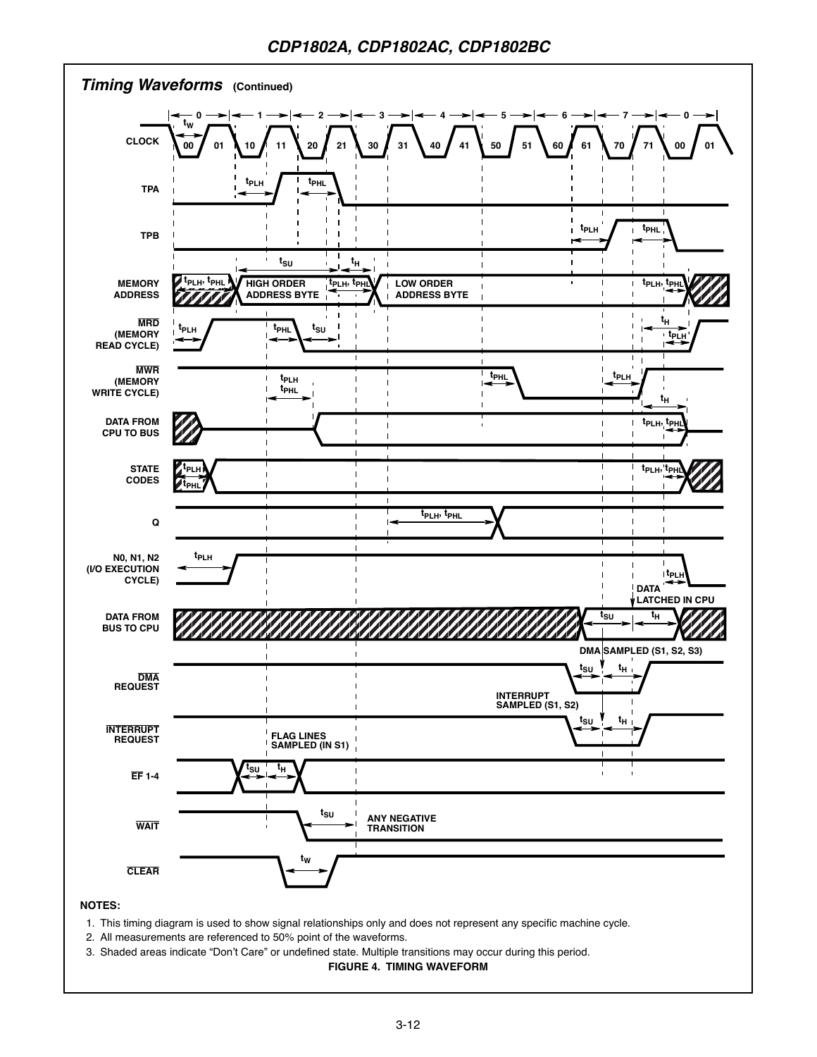

- 1. This timing diagram is used to show signal relationships only and does not represent any specific machine cycle.
- 2. All measurements are referenced to 50% point of the waveforms.
- 3. Shaded areas indicate "Don't Care" or undefined state. Multiple transitions may occur during this period.

**FIGURE 4. TIMING WAVEFORM**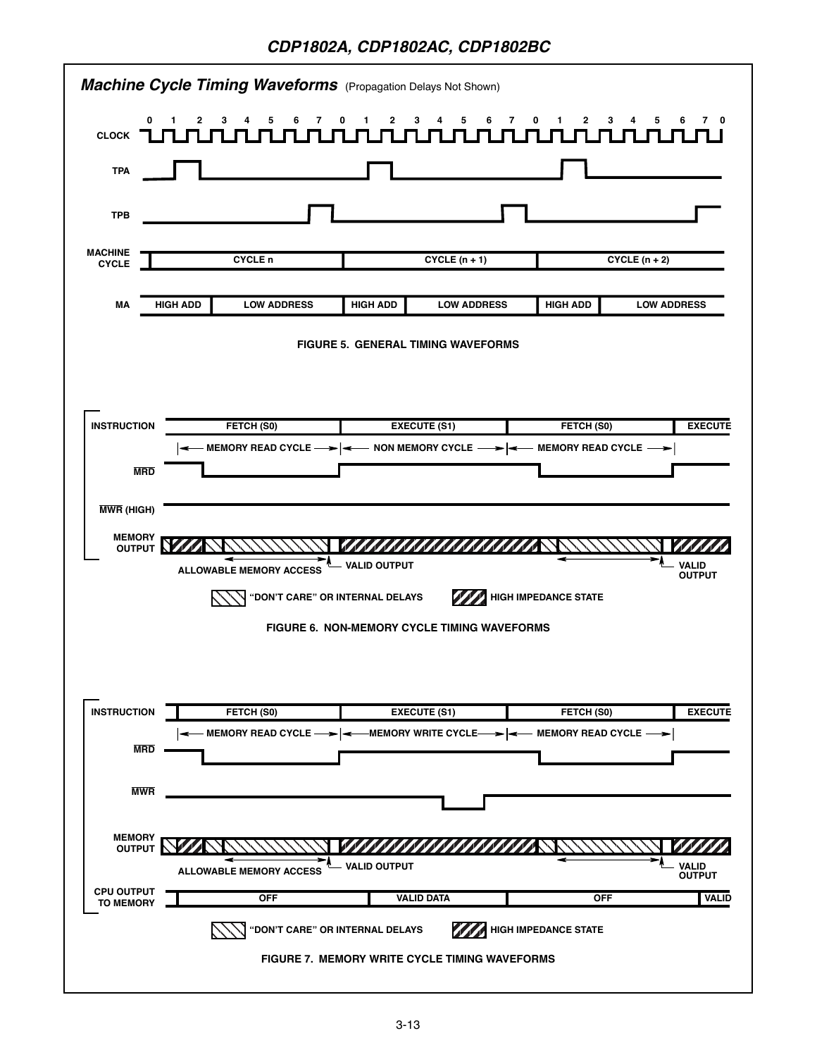|                                       |                                       | <b>Machine Cycle Timing Waveforms</b> (Propagation Delays Not Shown)             |                                   |                               |
|---------------------------------------|---------------------------------------|----------------------------------------------------------------------------------|-----------------------------------|-------------------------------|
| 0<br><b>CLOCK</b>                     | $\mathbf{1}$<br>2<br>4<br>5<br>6<br>7 | 2<br>3<br>6<br>0<br>1<br>4<br>5                                                  | 7<br>1.<br>$\mathbf{2}$<br>3<br>0 | 4<br>5<br>6                   |
| <b>TPA</b>                            |                                       |                                                                                  |                                   |                               |
| <b>TPB</b>                            |                                       |                                                                                  |                                   |                               |
| <b>MACHINE</b><br><b>CYCLE</b>        | <b>CYCLE</b> n                        | $CYCLE (n + 1)$                                                                  |                                   | $CYCLE (n + 2)$               |
| МA                                    | <b>HIGH ADD</b><br><b>LOW ADDRESS</b> | <b>HIGH ADD</b><br><b>LOW ADDRESS</b>                                            | <b>HIGH ADD</b>                   | <b>LOW ADDRESS</b>            |
|                                       |                                       | <b>FIGURE 5. GENERAL TIMING WAVEFORMS</b>                                        |                                   |                               |
|                                       |                                       |                                                                                  |                                   |                               |
| <b>INSTRUCTION</b>                    | FETCH (S0)                            | <b>EXECUTE (S1)</b>                                                              | FETCH (S0)                        | <b>EXECUTE</b>                |
|                                       |                                       | — MEMORY READ CYCLE ——>   ——  NON MEMORY CYCLE —— >   ——  MEMORY READ CYCLE —— > |                                   |                               |
| <b>MRD</b>                            |                                       |                                                                                  |                                   |                               |
| <b>MWR (HIGH)</b>                     |                                       |                                                                                  |                                   |                               |
| <b>MEMORY</b><br><b>OUTPUT</b>        |                                       | 77777777777777777                                                                |                                   |                               |
|                                       | <b>ALLOWABLE MEMORY ACCESS</b>        | - VALID OUTPUT                                                                   |                                   | <b>VALID</b><br><b>OUTPUT</b> |
|                                       |                                       | "DON'T CARE" OR INTERNAL DELAYS                                                  | <b>HIGH IMPEDANCE STATE</b>       |                               |
|                                       |                                       | FIGURE 6. NON-MEMORY CYCLE TIMING WAVEFORMS                                      |                                   |                               |
|                                       |                                       |                                                                                  |                                   |                               |
|                                       |                                       |                                                                                  |                                   |                               |
| <b>INSTRUCTION</b>                    | FETCH (S0)                            | <b>EXECUTE (S1)</b>                                                              | FETCH (S0)                        | <b>EXECUTE</b>                |
|                                       |                                       | — MEMORY READ CYCLE ——> │—— MEMORY WRITE CYCLE—— > │—— MEMORY READ CYCLE —— >    |                                   |                               |
| <b>MRD</b>                            |                                       |                                                                                  |                                   |                               |
| <b>MWR</b>                            |                                       |                                                                                  |                                   |                               |
|                                       |                                       |                                                                                  |                                   |                               |
| <b>MEMORY</b>                         |                                       | <u> Villian millian</u>                                                          |                                   |                               |
| OUTPUT <b>L</b>                       | <b>ALLOWABLE MEMORY ACCESS</b>        | VALID OUTPUT                                                                     |                                   | <b>VALID</b><br><b>OUTPUT</b> |
| <b>CPU OUTPUT</b><br><b>TO MEMORY</b> | <b>OFF</b>                            | <b>VALID DATA</b>                                                                | <b>OFF</b>                        | <b>VALID</b>                  |
|                                       |                                       | "DON'T CARE" OR INTERNAL DELAYS                                                  | <b>HIGH IMPEDANCE STATE</b>       |                               |
|                                       |                                       | <b>FIGURE 7. MEMORY WRITE CYCLE TIMING WAVEFORMS</b>                             |                                   |                               |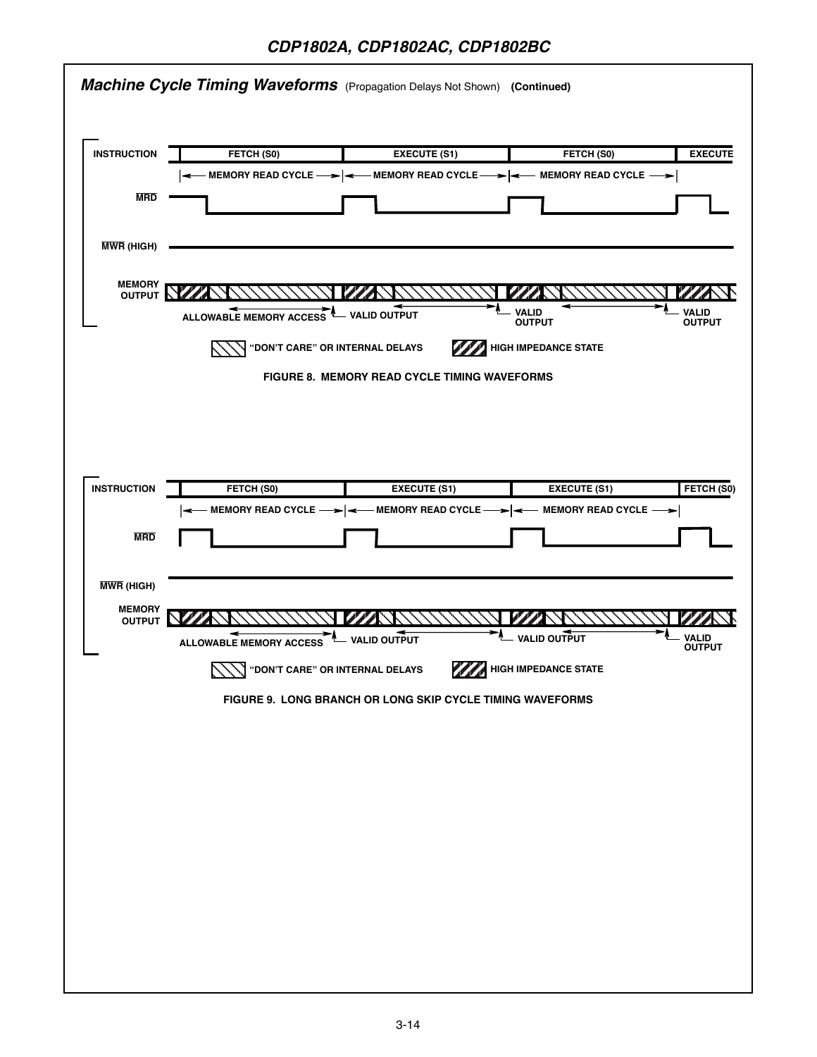|                                | <b>Machine Cycle Timing Waveforms</b> (Propagation Delays Not Shown) (Continued) |                                                                                 |                               |                               |
|--------------------------------|----------------------------------------------------------------------------------|---------------------------------------------------------------------------------|-------------------------------|-------------------------------|
| <b>INSTRUCTION</b>             | FETCH (S0)                                                                       | <b>EXECUTE (S1)</b>                                                             | FETCH (S0)                    | <b>EXECUTE</b>                |
|                                |                                                                                  | ← MEMORY READ CYCLE — > │ ← MEMORY READ CYCLE — > │ ← MEMORY READ CYCLE — > │   |                               |                               |
| <b>MRD</b>                     |                                                                                  |                                                                                 |                               |                               |
|                                |                                                                                  |                                                                                 |                               |                               |
| <b>MWR (HIGH)</b>              |                                                                                  |                                                                                 |                               |                               |
|                                |                                                                                  |                                                                                 |                               |                               |
| <b>MEMORY</b><br>OUTPUT NE     |                                                                                  |                                                                                 |                               |                               |
|                                | ALLOWABLE MEMORY ACCESS <sup>A</sup> VALID OUTPUT                                |                                                                                 | <b>VALID</b><br><b>OUTPUT</b> | <b>VALID</b><br><b>OUTPUT</b> |
|                                | "DON'T CARE" OR INTERNAL DELAYS                                                  |                                                                                 | <b>HIGH IMPEDANCE STATE</b>   |                               |
|                                |                                                                                  | <b>FIGURE 8. MEMORY READ CYCLE TIMING WAVEFORMS</b>                             |                               |                               |
|                                |                                                                                  |                                                                                 |                               |                               |
|                                |                                                                                  |                                                                                 |                               |                               |
|                                |                                                                                  |                                                                                 |                               |                               |
|                                |                                                                                  |                                                                                 |                               |                               |
| <b>INSTRUCTION</b>             | FETCH (S0)                                                                       | <b>EXECUTE (S1)</b>                                                             | <b>EXECUTE (S1)</b>           | FETCH (S0)                    |
|                                |                                                                                  | — MEMORY READ CYCLE — >   < — MEMORY READ CYCLE — >   < — MEMORY READ CYCLE — > |                               |                               |
| <b>MRD</b>                     |                                                                                  |                                                                                 |                               |                               |
|                                |                                                                                  |                                                                                 |                               |                               |
| <b>MWR (HIGH)</b>              |                                                                                  |                                                                                 |                               |                               |
| <b>MEMORY</b><br><b>OUTPUT</b> |                                                                                  |                                                                                 |                               |                               |
|                                | <b>ALLOWABLE MEMORY ACCESS</b>                                                   | - VALID OUTPUT                                                                  | - VALID OUTPUT                | VALID<br><b>OUTPUT</b>        |
|                                | <b>WALK ON THE CARE" OR INTERNAL DELAYS</b>                                      |                                                                                 | <b>WARNER IMPEDANCE STATE</b> |                               |
|                                |                                                                                  | FIGURE 9. LONG BRANCH OR LONG SKIP CYCLE TIMING WAVEFORMS                       |                               |                               |
|                                |                                                                                  |                                                                                 |                               |                               |
|                                |                                                                                  |                                                                                 |                               |                               |
|                                |                                                                                  |                                                                                 |                               |                               |
|                                |                                                                                  |                                                                                 |                               |                               |
|                                |                                                                                  |                                                                                 |                               |                               |
|                                |                                                                                  |                                                                                 |                               |                               |
|                                |                                                                                  |                                                                                 |                               |                               |
|                                |                                                                                  |                                                                                 |                               |                               |
|                                |                                                                                  |                                                                                 |                               |                               |
|                                |                                                                                  |                                                                                 |                               |                               |
|                                |                                                                                  |                                                                                 |                               |                               |
|                                |                                                                                  |                                                                                 |                               |                               |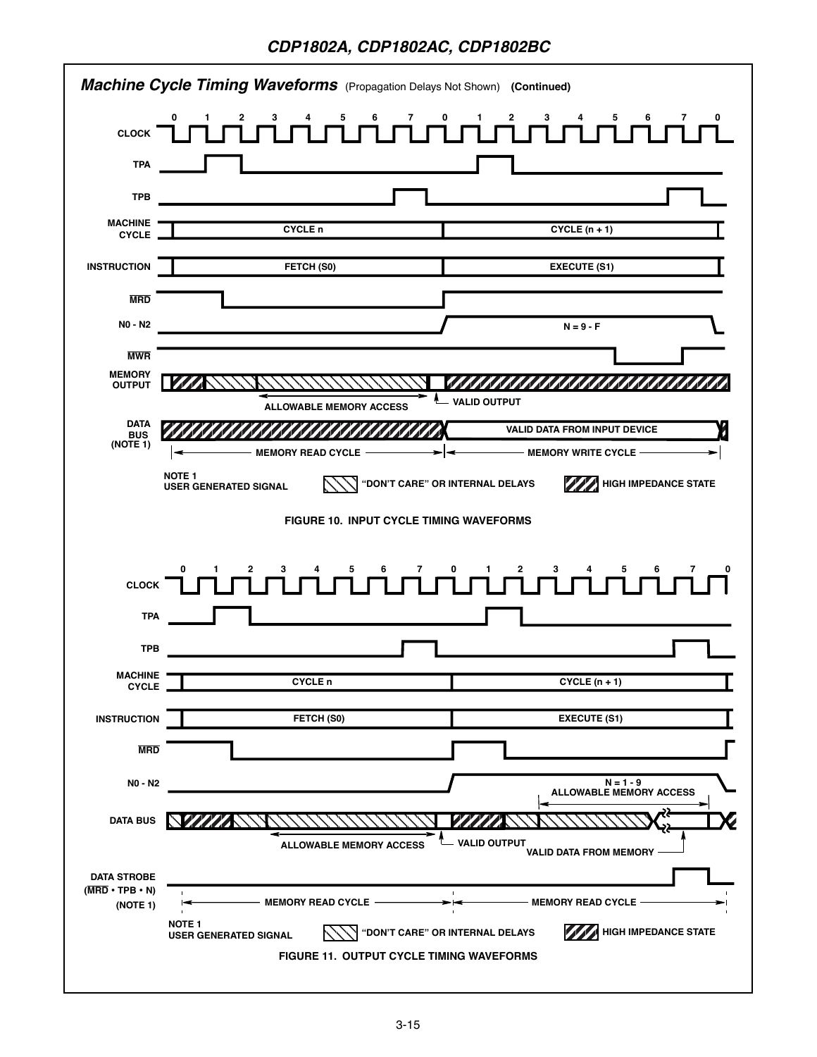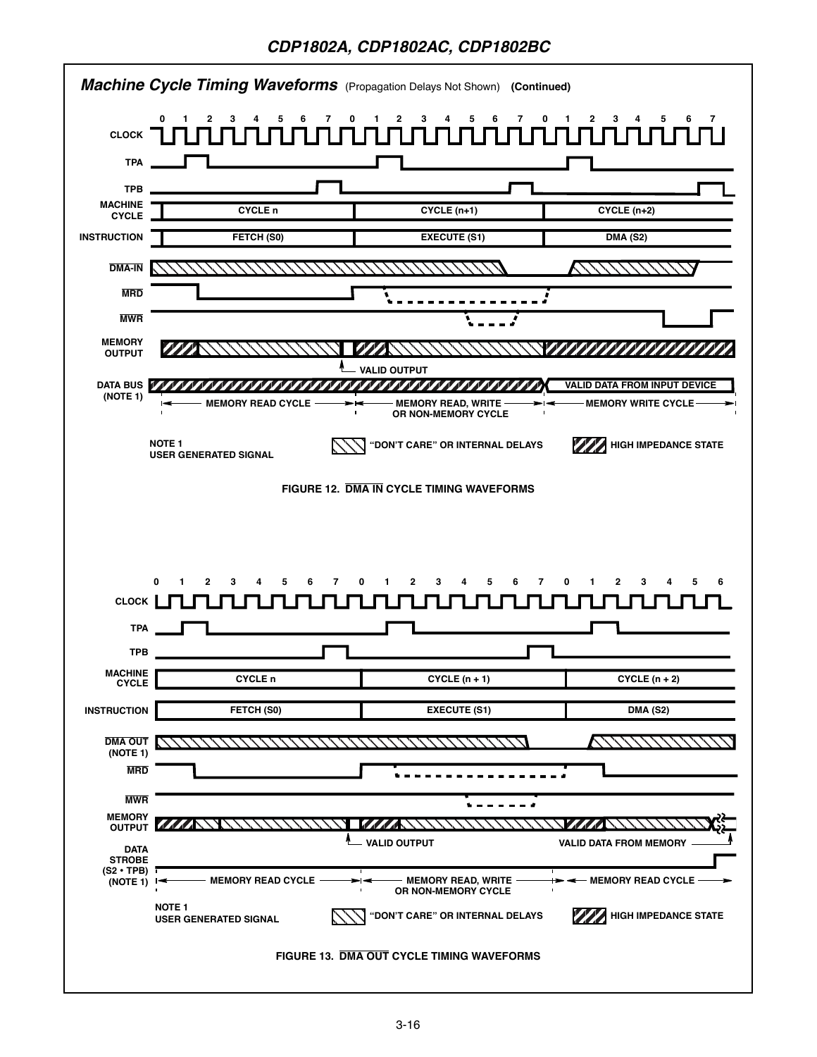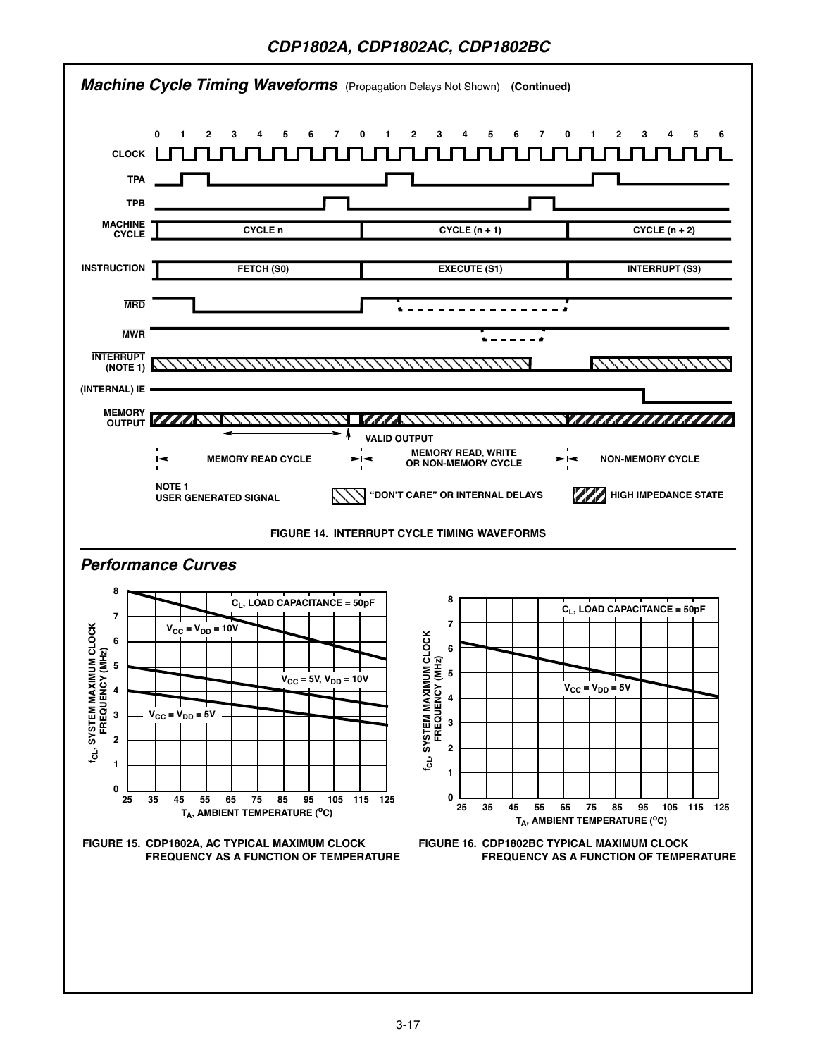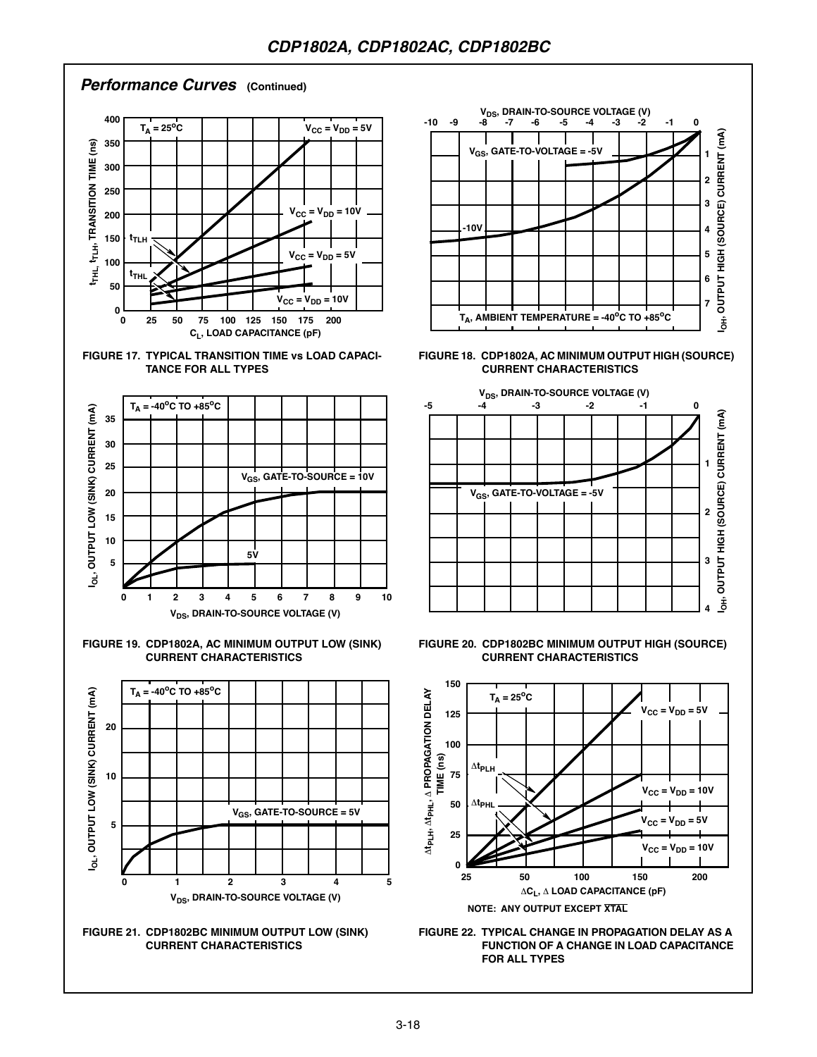#### **Performance Curves (Continued)**















**FIGURE 18. CDP1802A, AC MINIMUM OUTPUT HIGH (SOURCE) CURRENT CHARACTERISTICS**



**FIGURE 20. CDP1802BC MINIMUM OUTPUT HIGH (SOURCE) CURRENT CHARACTERISTICS**



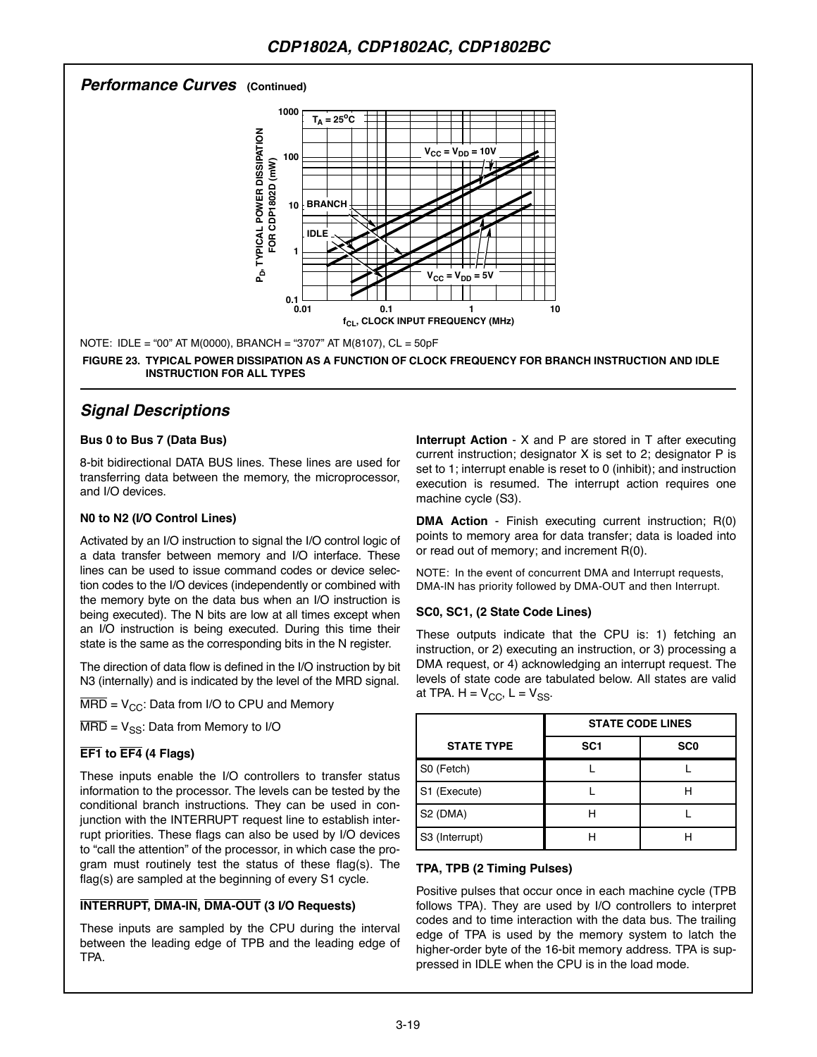### **Performance Curves (Continued)**



NOTE: IDLE = "00" AT M(0000), BRANCH = "3707" AT M(8107), CL = 50pF

**FIGURE 23. TYPICAL POWER DISSIPATION AS A FUNCTION OF CLOCK FREQUENCY FOR BRANCH INSTRUCTION AND IDLE INSTRUCTION FOR ALL TYPES**

# **Signal Descriptions**

#### **Bus 0 to Bus 7 (Data Bus)**

8-bit bidirectional DATA BUS lines. These lines are used for transferring data between the memory, the microprocessor, and I/O devices.

#### **N0 to N2 (I/O Control Lines)**

Activated by an I/O instruction to signal the I/O control logic of a data transfer between memory and I/O interface. These lines can be used to issue command codes or device selection codes to the I/O devices (independently or combined with the memory byte on the data bus when an I/O instruction is being executed). The N bits are low at all times except when an I/O instruction is being executed. During this time their state is the same as the corresponding bits in the N register.

The direction of data flow is defined in the I/O instruction by bit N3 (internally) and is indicated by the level of the MRD signal.

 $\overline{\text{MRD}} = V_{CC}$ : Data from I/O to CPU and Memory

 $\overline{\text{MRD}} = V_{SS}$ : Data from Memory to I/O

### **EF1 to EF4 (4 Flags)**

These inputs enable the I/O controllers to transfer status information to the processor. The levels can be tested by the conditional branch instructions. They can be used in conjunction with the INTERRUPT request line to establish interrupt priorities. These flags can also be used by I/O devices to "call the attention" of the processor, in which case the program must routinely test the status of these flag(s). The flag(s) are sampled at the beginning of every S1 cycle.

#### **INTERRUPT, DMA-lN, DMA-OUT (3 I/O Requests)**

These inputs are sampled by the CPU during the interval between the leading edge of TPB and the leading edge of TPA.

**Interrupt Action** - X and P are stored in T after executing current instruction; designator X is set to 2; designator P is set to 1; interrupt enable is reset to 0 (inhibit); and instruction execution is resumed. The interrupt action requires one machine cycle (S3).

**DMA Action** - Finish executing current instruction; R(0) points to memory area for data transfer; data is loaded into or read out of memory; and increment R(0).

NOTE: In the event of concurrent DMA and Interrupt requests, DMA-lN has priority followed by DMA-OUT and then Interrupt.

#### **SC0, SC1, (2 State Code Lines)**

These outputs indicate that the CPU is: 1) fetching an instruction, or 2) executing an instruction, or 3) processing a DMA request, or 4) acknowledging an interrupt request. The levels of state code are tabulated below. All states are valid at TPA.  $H = V_{CC}$ ,  $L = V_{SS}$ .

|                   | <b>STATE CODE LINES</b> |                 |  |  |  |  |
|-------------------|-------------------------|-----------------|--|--|--|--|
| <b>STATE TYPE</b> | SC <sub>1</sub>         | SC <sub>0</sub> |  |  |  |  |
| S0 (Fetch)        |                         |                 |  |  |  |  |
| S1 (Execute)      |                         |                 |  |  |  |  |
| S2 (DMA)          |                         |                 |  |  |  |  |
| S3 (Interrupt)    |                         |                 |  |  |  |  |

#### **TPA, TPB (2 Timing Pulses)**

Positive pulses that occur once in each machine cycle (TPB follows TPA). They are used by I/O controllers to interpret codes and to time interaction with the data bus. The trailing edge of TPA is used by the memory system to latch the higher-order byte of the 16-bit memory address. TPA is suppressed in IDLE when the CPU is in the load mode.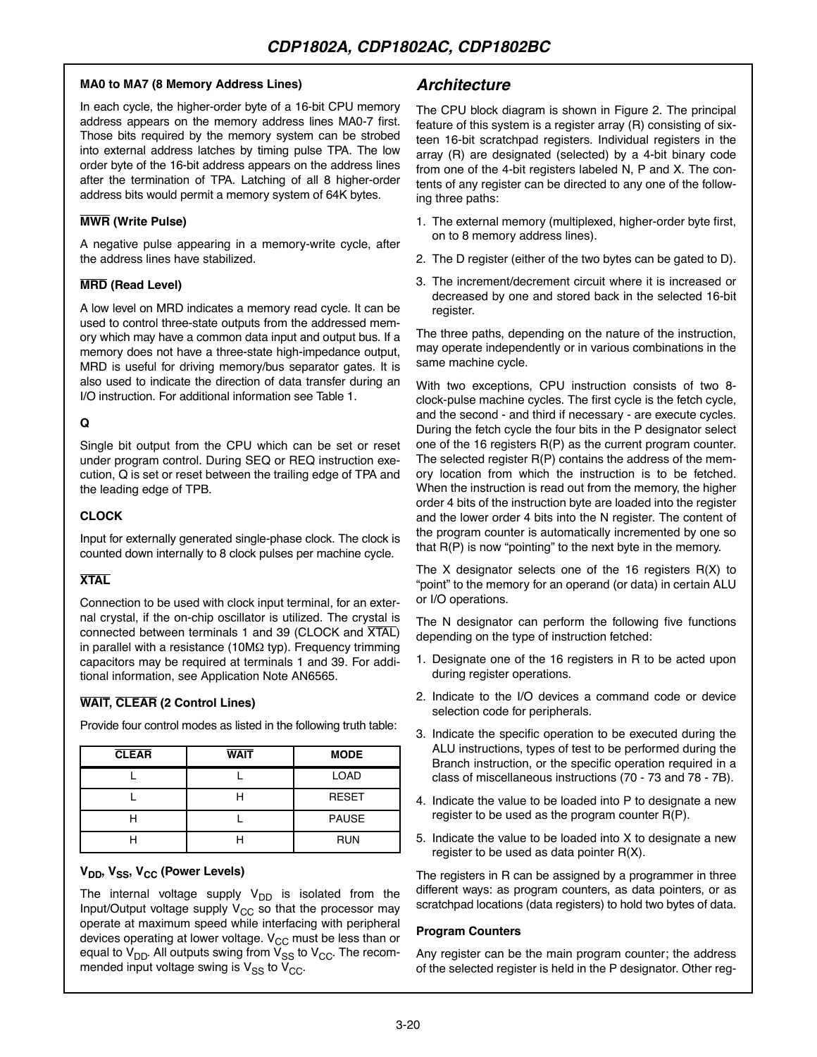#### **MA0 to MA7 (8 Memory Address Lines)**

In each cycle, the higher-order byte of a 16-bit CPU memory address appears on the memory address lines MA0-7 first. Those bits required by the memory system can be strobed into external address latches by timing pulse TPA. The low order byte of the 16-bit address appears on the address lines after the termination of TPA. Latching of all 8 higher-order address bits would permit a memory system of 64K bytes.

#### **MWR (Write Pulse)**

A negative pulse appearing in a memory-write cycle, after the address lines have stabilized.

#### **MRD (Read Level)**

A low level on MRD indicates a memory read cycle. It can be used to control three-state outputs from the addressed memory which may have a common data input and output bus. If a memory does not have a three-state high-impedance output, MRD is useful for driving memory/bus separator gates. It is also used to indicate the direction of data transfer during an I/O instruction. For additional information see Table 1.

#### **Q**

Single bit output from the CPU which can be set or reset under program control. During SEQ or REQ instruction execution, Q is set or reset between the trailing edge of TPA and the leading edge of TPB.

#### **CLOCK**

Input for externally generated single-phase clock. The clock is counted down internally to 8 clock pulses per machine cycle.

### **XTAL**

Connection to be used with clock input terminal, for an external crystal, if the on-chip oscillator is utilized. The crystal is connected between terminals 1 and 39 (CLOCK and XTAL) in parallel with a resistance (10MΩ typ). Frequency trimming capacitors may be required at terminals 1 and 39. For additional information, see Application Note AN6565.

### **WAIT, CLEAR (2 Control Lines)**

Provide four control modes as listed in the following truth table:

| <b>CLEAR</b> | <b>WAIT</b>  | <b>MODE</b>  |  |  |
|--------------|--------------|--------------|--|--|
|              |              | <b>LOAD</b>  |  |  |
|              | <b>RESET</b> |              |  |  |
|              |              | <b>PAUSE</b> |  |  |
|              |              | <b>RUN</b>   |  |  |

### **V<sub>DD</sub>, V<sub>SS</sub>, V<sub>CC</sub> (Power Levels)**

The internal voltage supply  $V_{DD}$  is isolated from the Input/Output voltage supply  $V_{CC}$  so that the processor may operate at maximum speed while interfacing with peripheral devices operating at lower voltage.  $V_{CC}$  must be less than or equal to  $V_{DD}$ . All outputs swing from  $V_{SS}$  to  $V_{CC}$ . The recommended input voltage swing is  $V_{SS}$  to  $V_{CC}$ .

# **Architecture**

The CPU block diagram is shown in Figure 2. The principal feature of this system is a register array (R) consisting of sixteen 16-bit scratchpad registers. Individual registers in the array (R) are designated (selected) by a 4-bit binary code from one of the 4-bit registers labeled N, P and X. The contents of any register can be directed to any one of the following three paths:

- 1. The external memory (multiplexed, higher-order byte first, on to 8 memory address lines).
- 2. The D register (either of the two bytes can be gated to D).
- 3. The increment/decrement circuit where it is increased or decreased by one and stored back in the selected 16-bit register.

The three paths, depending on the nature of the instruction, may operate independently or in various combinations in the same machine cycle.

With two exceptions, CPU instruction consists of two 8 clock-pulse machine cycles. The first cycle is the fetch cycle, and the second - and third if necessary - are execute cycles. During the fetch cycle the four bits in the P designator select one of the 16 registers R(P) as the current program counter. The selected register R(P) contains the address of the memory location from which the instruction is to be fetched. When the instruction is read out from the memory, the higher order 4 bits of the instruction byte are loaded into the register and the lower order 4 bits into the N register. The content of the program counter is automatically incremented by one so that R(P) is now "pointing" to the next byte in the memory.

The X designator selects one of the 16 registers R(X) to "point" to the memory for an operand (or data) in certain ALU or I/O operations.

The N designator can perform the following five functions depending on the type of instruction fetched:

- 1. Designate one of the 16 registers in R to be acted upon during register operations.
- 2. Indicate to the I/O devices a command code or device selection code for peripherals.
- 3. Indicate the specific operation to be executed during the ALU instructions, types of test to be performed during the Branch instruction, or the specific operation required in a class of miscellaneous instructions (70 - 73 and 78 - 7B).
- 4. Indicate the value to be loaded into P to designate a new register to be used as the program counter R(P).
- 5. Indicate the value to be loaded into X to designate a new register to be used as data pointer R(X).

The registers in R can be assigned by a programmer in three different ways: as program counters, as data pointers, or as scratchpad locations (data registers) to hold two bytes of data.

#### **Program Counters**

Any register can be the main program counter; the address of the selected register is held in the P designator. Other reg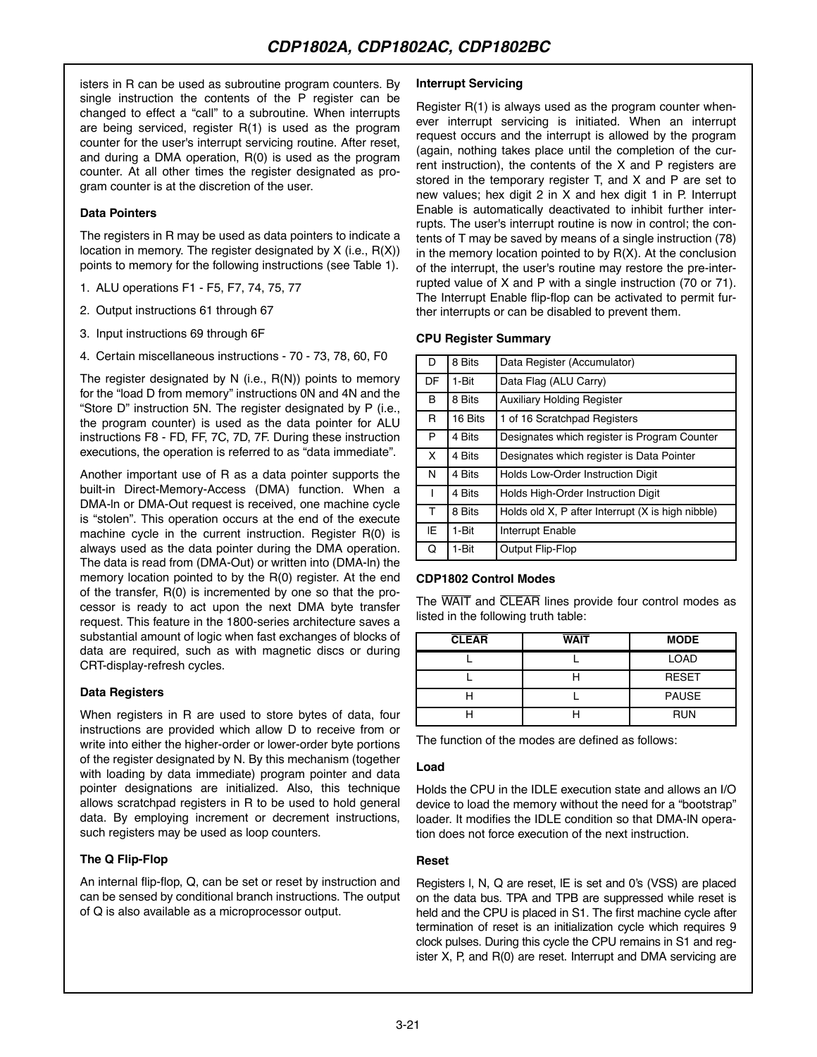isters in R can be used as subroutine program counters. By single instruction the contents of the P register can be changed to effect a "call" to a subroutine. When interrupts are being serviced, register R(1) is used as the program counter for the user's interrupt servicing routine. After reset, and during a DMA operation, R(0) is used as the program counter. At all other times the register designated as program counter is at the discretion of the user.

#### **Data Pointers**

The registers in R may be used as data pointers to indicate a location in memory. The register designated by X (i.e., R(X)) points to memory for the following instructions (see Table 1).

- 1. ALU operations F1 F5, F7, 74, 75, 77
- 2. Output instructions 61 through 67
- 3. Input instructions 69 through 6F
- 4. Certain miscellaneous instructions 70 73, 78, 60, F0

The register designated by N (i.e., R(N)) points to memory for the "load D from memory" instructions 0N and 4N and the "Store D" instruction 5N. The register designated by P (i.e., the program counter) is used as the data pointer for ALU instructions F8 - FD, FF, 7C, 7D, 7F. During these instruction executions, the operation is referred to as "data immediate".

Another important use of R as a data pointer supports the built-in Direct-Memory-Access (DMA) function. When a DMA-ln or DMA-Out request is received, one machine cycle is "stolen". This operation occurs at the end of the execute machine cycle in the current instruction. Register R(0) is always used as the data pointer during the DMA operation. The data is read from (DMA-Out) or written into (DMA-ln) the memory location pointed to by the R(0) register. At the end of the transfer, R(0) is incremented by one so that the processor is ready to act upon the next DMA byte transfer request. This feature in the 1800-series architecture saves a substantial amount of logic when fast exchanges of blocks of data are required, such as with magnetic discs or during CRT-display-refresh cycles.

#### **Data Registers**

When registers in R are used to store bytes of data, four instructions are provided which allow D to receive from or write into either the higher-order or lower-order byte portions of the register designated by N. By this mechanism (together with loading by data immediate) program pointer and data pointer designations are initialized. Also, this technique allows scratchpad registers in R to be used to hold general data. By employing increment or decrement instructions, such registers may be used as loop counters.

#### **The Q Flip-Flop**

An internal flip-flop, Q, can be set or reset by instruction and can be sensed by conditional branch instructions. The output of Q is also available as a microprocessor output.

#### **Interrupt Servicing**

Register R(1) is always used as the program counter whenever interrupt servicing is initiated. When an interrupt request occurs and the interrupt is allowed by the program (again, nothing takes place until the completion of the current instruction), the contents of the X and P registers are stored in the temporary register T, and X and P are set to new values; hex digit 2 in X and hex digit 1 in P. Interrupt Enable is automatically deactivated to inhibit further interrupts. The user's interrupt routine is now in control; the contents of T may be saved by means of a single instruction (78) in the memory location pointed to by  $R(X)$ . At the conclusion of the interrupt, the user's routine may restore the pre-interrupted value of X and P with a single instruction (70 or 71). The Interrupt Enable flip-flop can be activated to permit further interrupts or can be disabled to prevent them.

#### **CPU Register Summary**

| D  | 8 Bits  | Data Register (Accumulator)                       |
|----|---------|---------------------------------------------------|
| DF | 1-Bit   | Data Flag (ALU Carry)                             |
| В  | 8 Bits  | <b>Auxiliary Holding Register</b>                 |
| R  | 16 Bits | 1 of 16 Scratchpad Registers                      |
| P  | 4 Bits  | Designates which register is Program Counter      |
| X. | 4 Bits  | Designates which register is Data Pointer         |
| N  | 4 Bits  | Holds Low-Order Instruction Digit                 |
| L  | 4 Bits  | Holds High-Order Instruction Digit                |
| T  | 8 Bits  | Holds old X, P after Interrupt (X is high nibble) |
| ΙE | 1-Bit   | Interrupt Enable                                  |
| Q  | 1-Bit   | Output Flip-Flop                                  |

#### **CDP1802 Control Modes**

The WAIT and CLEAR lines provide four control modes as listed in the following truth table:

| <b>CLEAR</b> | <b>WAIT</b> | <b>MODE</b>  |
|--------------|-------------|--------------|
|              |             | <b>LOAD</b>  |
|              |             | <b>RESET</b> |
|              |             | <b>PAUSE</b> |
|              |             | <b>RUN</b>   |

The function of the modes are defined as follows:

#### **Load**

Holds the CPU in the IDLE execution state and allows an I/O device to load the memory without the need for a "bootstrap" loader. It modifies the IDLE condition so that DMA-lN operation does not force execution of the next instruction.

#### **Reset**

Registers l, N, Q are reset, lE is set and 0's (VSS) are placed on the data bus. TPA and TPB are suppressed while reset is held and the CPU is placed in S1. The first machine cycle after termination of reset is an initialization cycle which requires 9 clock pulses. During this cycle the CPU remains in S1 and register X, P, and R(0) are reset. Interrupt and DMA servicing are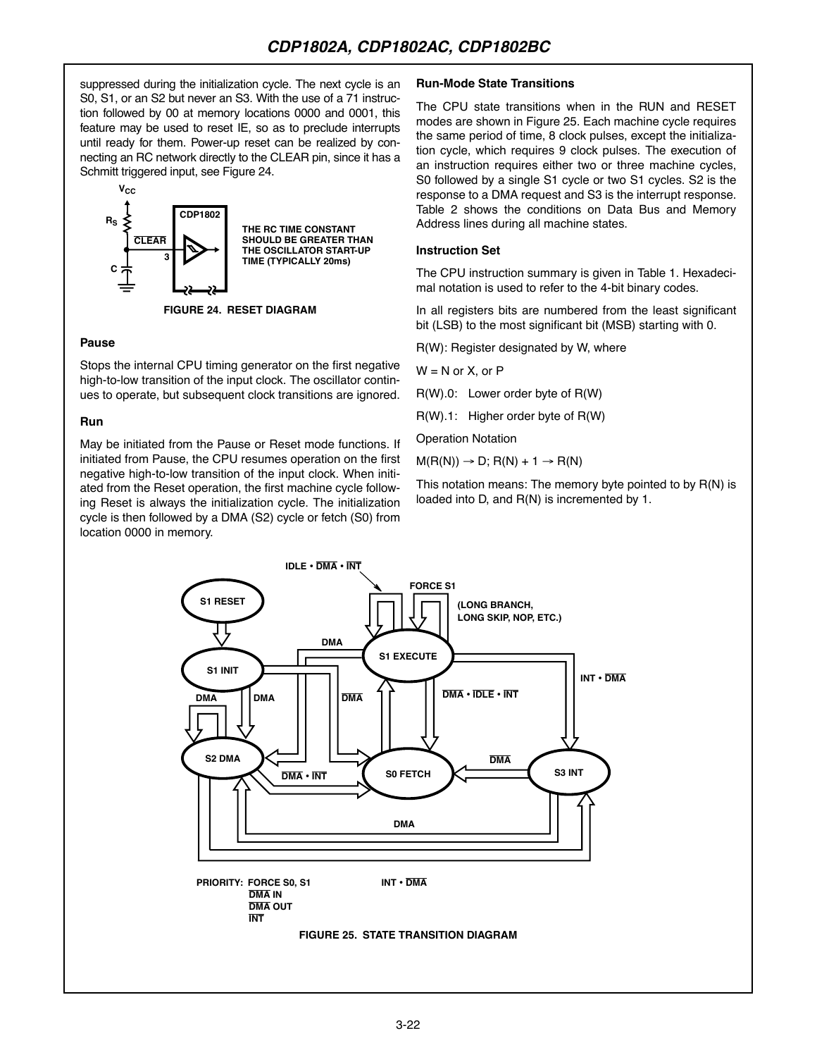suppressed during the initialization cycle. The next cycle is an S0, S1, or an S2 but never an S3. With the use of a 71 instruction followed by 00 at memory locations 0000 and 0001, this feature may be used to reset IE, so as to preclude interrupts until ready for them. Power-up reset can be realized by connecting an RC network directly to the CLEAR pin, since it has a Schmitt triggered input, see Figure 24.



**FIGURE 24. RESET DIAGRAM**

#### **Pause**

Stops the internal CPU timing generator on the first negative high-to-low transition of the input clock. The oscillator continues to operate, but subsequent clock transitions are ignored.

#### **Run**

May be initiated from the Pause or Reset mode functions. If initiated from Pause, the CPU resumes operation on the first negative high-to-low transition of the input clock. When initiated from the Reset operation, the first machine cycle following Reset is always the initialization cycle. The initialization cycle is then followed by a DMA (S2) cycle or fetch (S0) from location 0000 in memory.

#### **Run-Mode State Transitions**

The CPU state transitions when in the RUN and RESET modes are shown in Figure 25. Each machine cycle requires the same period of time, 8 clock pulses, except the initialization cycle, which requires 9 clock pulses. The execution of an instruction requires either two or three machine cycles, S0 followed by a single S1 cycle or two S1 cycles. S2 is the response to a DMA request and S3 is the interrupt response. Table 2 shows the conditions on Data Bus and Memory Address lines during all machine states.

#### **Instruction Set**

The CPU instruction summary is given in Table 1. Hexadecimal notation is used to refer to the 4-bit binary codes.

In all registers bits are numbered from the least significant bit (LSB) to the most significant bit (MSB) starting with 0.

R(W): Register designated by W, where

 $W = N$  or  $X$ , or  $P$ 

R(W).0: Lower order byte of R(W)

R(W).1: Higher order byte of R(W)

Operation Notation

 $M(R(N)) \rightarrow D$ ; R(N) + 1  $\rightarrow R(N)$ 

This notation means: The memory byte pointed to by R(N) is loaded into D, and R(N) is incremented by 1.

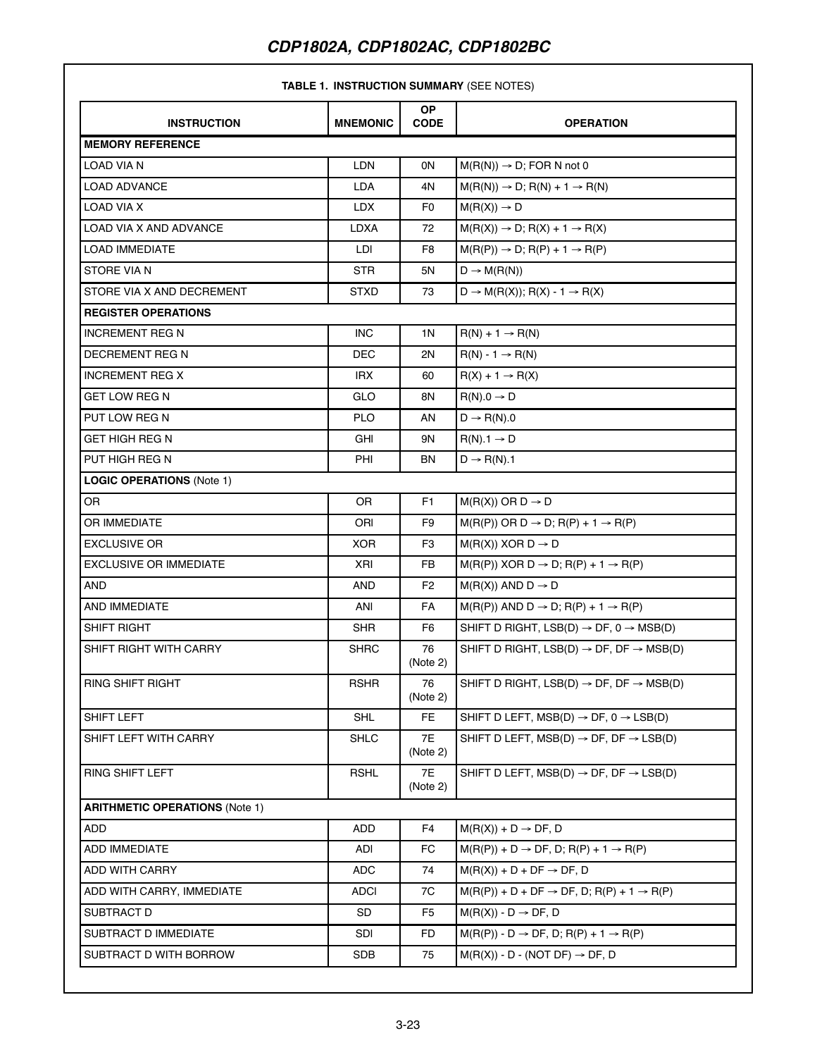### **TABLE 1. INSTRUCTION SUMMARY** (SEE NOTES)

| <b>INSTRUCTION</b>                    | <b>MNEMONIC</b> | OP.<br><b>CODE</b> | <b>OPERATION</b>                                                |
|---------------------------------------|-----------------|--------------------|-----------------------------------------------------------------|
| <b>MEMORY REFERENCE</b>               |                 |                    |                                                                 |
| LOAD VIA N                            | LDN             | 0N                 | $M(R(N)) \rightarrow D$ ; FOR N not 0                           |
| <b>LOAD ADVANCE</b>                   | LDA             | 4N                 | $M(R(N)) \rightarrow D$ ; R(N) + 1 $\rightarrow$ R(N)           |
| LOAD VIA X                            | LDX             | F0                 | $M(R(X)) \rightarrow D$                                         |
| <b>LOAD VIA X AND ADVANCE</b>         | LDXA            | 72                 | $M(R(X)) \rightarrow D$ ; R(X) + 1 $\rightarrow R(X)$           |
| <b>LOAD IMMEDIATE</b>                 | LDI             | F <sub>8</sub>     | $M(R(P)) \rightarrow D$ ; R(P) + 1 $\rightarrow$ R(P)           |
| STORE VIA N                           | <b>STR</b>      | 5N                 | $D \rightarrow M(R(N))$                                         |
| STORE VIA X AND DECREMENT             | <b>STXD</b>     | 73                 | $D \rightarrow M(R(X))$ ; R(X) - 1 $\rightarrow R(X)$           |
| <b>REGISTER OPERATIONS</b>            |                 |                    |                                                                 |
| <b>INCREMENT REG N</b>                | <b>INC</b>      | 1N                 | $R(N) + 1 \rightarrow R(N)$                                     |
| DECREMENT REG N                       | DEC             | 2N                 | $R(N) - 1 \rightarrow R(N)$                                     |
| <b>INCREMENT REG X</b>                | IRX             | 60                 | $R(X) + 1 \rightarrow R(X)$                                     |
| GET LOW REG N                         | GLO             | 8N                 | $R(N).0 \rightarrow D$                                          |
| PUT LOW REG N                         | <b>PLO</b>      | AN                 | $D \rightarrow R(N).0$                                          |
| GET HIGH REG N                        | GHI             | 9N                 | $R(N)$ .1 $\rightarrow$ D                                       |
| PUT HIGH REG N                        | PHI             | BN                 | $D \rightarrow R(N)$ .1                                         |
| <b>LOGIC OPERATIONS (Note 1)</b>      |                 |                    |                                                                 |
| OR.                                   | 0R              | F <sub>1</sub>     | $M(R(X))$ OR $D \rightarrow D$                                  |
| OR IMMEDIATE                          | ORI             | F <sub>9</sub>     | $M(R(P))$ OR D $\rightarrow$ D; R(P) + 1 $\rightarrow$ R(P)     |
| <b>EXCLUSIVE OR</b>                   | <b>XOR</b>      | F <sub>3</sub>     | $M(R(X))$ XOR $D \rightarrow D$                                 |
| <b>EXCLUSIVE OR IMMEDIATE</b>         | XRI             | <b>FB</b>          | $M(R(P))$ XOR D $\rightarrow$ D; R(P) + 1 $\rightarrow$ R(P)    |
| AND                                   | AND             | F <sub>2</sub>     | $M(R(X))$ AND $D \rightarrow D$                                 |
| AND IMMEDIATE                         | ANI             | FA                 | $M(R(P))$ AND D $\rightarrow$ D; R(P) + 1 $\rightarrow$ R(P)    |
| SHIFT RIGHT                           | SHR             | F <sub>6</sub>     | SHIFT D RIGHT, LSB(D) $\rightarrow$ DF, 0 $\rightarrow$ MSB(D)  |
| SHIFT RIGHT WITH CARRY                | <b>SHRC</b>     | 76<br>(Note 2)     | SHIFT D RIGHT, LSB(D) $\rightarrow$ DF, DF $\rightarrow$ MSB(D) |
| RING SHIFT RIGHT                      | <b>RSHR</b>     | 76<br>(Note 2)     | SHIFT D RIGHT, LSB(D) $\rightarrow$ DF, DF $\rightarrow$ MSB(D) |
| SHIFT LEFT                            | SHL             | FE                 | SHIFT D LEFT, MSB(D) $\rightarrow$ DF, 0 $\rightarrow$ LSB(D)   |
| SHIFT LEFT WITH CARRY                 | <b>SHLC</b>     | 7E<br>(Note 2)     | SHIFT D LEFT. MSB(D) $\rightarrow$ DF. DF $\rightarrow$ LSB(D)  |
| <b>RING SHIFT LEFT</b>                | <b>RSHL</b>     | 7E<br>(Note 2)     | SHIFT D LEFT, MSB(D) $\rightarrow$ DF, DF $\rightarrow$ LSB(D)  |
| <b>ARITHMETIC OPERATIONS (Note 1)</b> |                 |                    |                                                                 |
| ADD                                   | ADD             | F <sub>4</sub>     | $M(R(X)) + D \rightarrow DF, D$                                 |
| ADD IMMEDIATE                         | ADI             | <b>FC</b>          | $M(R(P)) + D \rightarrow DF, D; R(P) + 1 \rightarrow R(P)$      |
| ADD WITH CARRY                        | <b>ADC</b>      | 74                 | $M(R(X)) + D + DF \rightarrow DF, D$                            |
| ADD WITH CARRY, IMMEDIATE             | <b>ADCI</b>     | 7C                 | $M(R(P)) + D + DF \rightarrow DF, D; R(P) + 1 \rightarrow R(P)$ |
| SUBTRACT D                            | SD              | F5                 | $M(R(X)) - D \rightarrow DF, D$                                 |
| SUBTRACT D IMMEDIATE                  | SDI             | FD.                | $M(R(P)) - D \rightarrow DF, D; R(P) + 1 \rightarrow R(P)$      |
| SUBTRACT D WITH BORROW                | <b>SDB</b>      | 75                 | $M(R(X)) - D - (NOT DF) \rightarrow DF, D$                      |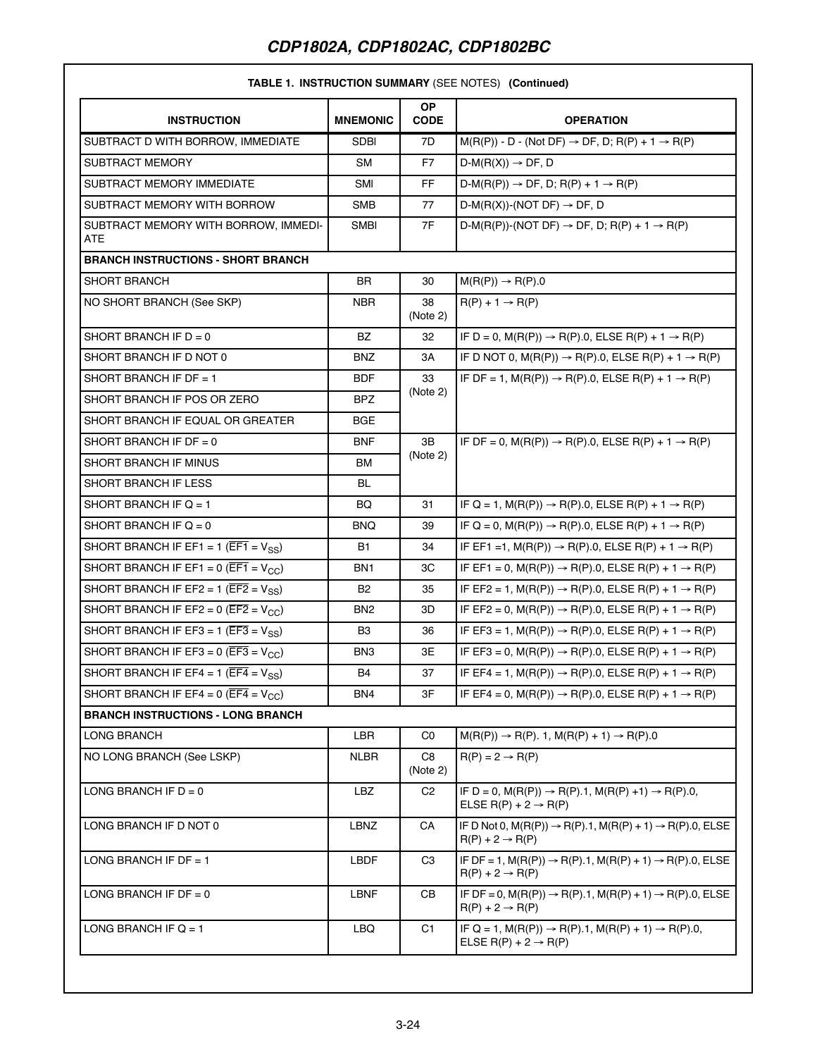#### **TABLE 1. INSTRUCTION SUMMARY** (SEE NOTES) **(Continued)**

| <b>INSTRUCTION</b>                                             | <b>MNEMONIC</b> | OP.<br><b>CODE</b> | <b>OPERATION</b>                                                                                                           |
|----------------------------------------------------------------|-----------------|--------------------|----------------------------------------------------------------------------------------------------------------------------|
| SUBTRACT D WITH BORROW. IMMEDIATE                              | <b>SDBI</b>     | 7D                 | $M(R(P)) - D - (Not DF) \rightarrow DF, D; R(P) + 1 \rightarrow R(P)$                                                      |
| <b>SUBTRACT MEMORY</b>                                         | SM              | F7                 | $D-M(R(X)) \rightarrow DF, D$                                                                                              |
| SUBTRACT MEMORY IMMEDIATE                                      | SMI             | <b>FF</b>          | $D-M(R(P)) \rightarrow DF, D; R(P) + 1 \rightarrow R(P)$                                                                   |
| SUBTRACT MEMORY WITH BORROW                                    | <b>SMB</b>      | 77                 | $D-M(R(X))-(NOT DF) \rightarrow DF, D$                                                                                     |
| SUBTRACT MEMORY WITH BORROW, IMMEDI-<br>ATE                    | <b>SMBI</b>     | 7F                 | $D-M(R(P))-(NOT DF) \rightarrow DF, D; R(P) + 1 \rightarrow R(P)$                                                          |
| <b>BRANCH INSTRUCTIONS - SHORT BRANCH</b>                      |                 |                    |                                                                                                                            |
| <b>SHORT BRANCH</b>                                            | BR              | 30                 | $M(R(P)) \rightarrow R(P).0$                                                                                               |
| NO SHORT BRANCH (See SKP)                                      | <b>NBR</b>      | 38<br>(Note 2)     | $R(P) + 1 \rightarrow R(P)$                                                                                                |
| SHORT BRANCH IF $D = 0$                                        | <b>BZ</b>       | 32                 | IF D = 0, $M(R(P)) \to R(P)$ .0, ELSE R(P) + 1 $\to R(P)$                                                                  |
| SHORT BRANCH IF D NOT 0                                        | <b>BNZ</b>      | ЗA                 | IF D NOT 0, $M(R(P)) \rightarrow R(P)$ .0, ELSE $R(P) + 1 \rightarrow R(P)$                                                |
| SHORT BRANCH IF DF = 1                                         | <b>BDF</b>      | 33                 | IF DF = 1, $M(R(P)) \to R(P) \cdot 0$ , ELSE R(P) + 1 $\to R(P)$                                                           |
| SHORT BRANCH IF POS OR ZERO                                    | BPZ             | (Note 2)           |                                                                                                                            |
| SHORT BRANCH IF EQUAL OR GREATER                               | <b>BGE</b>      |                    |                                                                                                                            |
| SHORT BRANCH IF DF = $0$                                       | <b>BNF</b>      | 3B                 | IF DF = 0, $M(R(P)) \to R(P)$ .0, ELSE R(P) + 1 $\to R(P)$                                                                 |
| SHORT BRANCH IF MINUS                                          | BM              | (Note 2)           |                                                                                                                            |
| SHORT BRANCH IF LESS                                           | BL              |                    |                                                                                                                            |
| SHORT BRANCH IF $Q = 1$                                        | BQ              | 31                 | IF Q = 1, $M(R(P)) \to R(P) \cdot 0$ , ELSE R(P) + 1 $\to R(P)$                                                            |
| SHORT BRANCH IF $Q = 0$                                        | BNQ             | 39                 | IF Q = 0, $M(R(P)) \rightarrow R(P)$ 0, ELSE R(P) + 1 $\rightarrow R(P)$                                                   |
| SHORT BRANCH IF EF1 = 1 ( $\overline{EF1}$ = $V_{SS}$ )        | B1              | 34                 | IF EF1 =1, $M(R(P)) \to R(P) \cdot 0$ , ELSE R(P) + 1 $\to R(P)$                                                           |
| SHORT BRANCH IF EF1 = 0 ( $\overline{EFT}$ = V <sub>CC</sub> ) | BN1             | ЗC                 | IF EF1 = 0, $M(R(P)) \to R(P)$ .0, ELSE R(P) + 1 $\to R(P)$                                                                |
| SHORT BRANCH IF EF2 = 1 ( $\overline{EF2}$ = $V_{SS}$ )        | <b>B2</b>       | 35                 | IF EF2 = 1, $M(R(P)) \to R(P) \cdot 0$ , ELSE R(P) + 1 $\to R(P)$                                                          |
| SHORT BRANCH IF EF2 = 0 ( $\overline{EF2}$ = V <sub>CC</sub> ) | BN <sub>2</sub> | 3D                 | IF EF2 = 0, M(R(P)) $\rightarrow$ R(P).0, ELSE R(P) + 1 $\rightarrow$ R(P)                                                 |
| SHORT BRANCH IF EF3 = 1 ( $\overline{EF3}$ = $V_{SS}$ )        | B3              | 36                 | IF EF3 = 1, $M(R(P)) \to R(P) \cdot 0$ , ELSE R(P) + 1 $\to R(P)$                                                          |
| SHORT BRANCH IF EF3 = 0 ( $\overline{EF3}$ = $V_{CC}$ )        | BN3             | 3E                 | IF EF3 = 0, $M(R(P)) \to R(P)$ .0, ELSE R(P) + 1 $\to R(P)$                                                                |
| SHORT BRANCH IF EF4 = 1 ( $\overline{EF4}$ = $V_{SS}$ )        | B4              | 37                 | IF EF4 = 1, $M(R(P)) \to R(P) \cdot 0$ , ELSE R(P) + 1 $\to R(P)$                                                          |
| SHORT BRANCH IF EF4 = 0 ( $\overline{EF4}$ = V <sub>CC</sub> ) | BN4             | 3F                 | IF EF4 = 0, $M(R(P)) \to R(P) \cdot 0$ , ELSE R(P) + 1 $\to R(P)$                                                          |
| <b>BRANCH INSTRUCTIONS - LONG BRANCH</b>                       |                 |                    |                                                                                                                            |
| LONG BRANCH                                                    | LBR             | C <sub>0</sub>     | $M(R(P)) \to R(P)$ . 1, $M(R(P) + 1) \to R(P)$ .0                                                                          |
| NO LONG BRANCH (See LSKP)                                      | <b>NLBR</b>     | C8<br>(Note 2)     | $R(P) = 2 \rightarrow R(P)$                                                                                                |
| LONG BRANCH IF $D = 0$                                         | LBZ             | C <sub>2</sub>     | IF D = 0, $M(R(P)) \rightarrow R(P) \cdot 1$ , $M(R(P) +1) \rightarrow R(P) \cdot 0$ ,<br>ELSE $R(P) + 2 \rightarrow R(P)$ |
| LONG BRANCH IF D NOT 0                                         | LBNZ            | CA                 | IF D Not 0, $M(R(P)) \to R(P)$ .1, $M(R(P) + 1) \to R(P)$ .0, ELSE<br>$R(P) + 2 \rightarrow R(P)$                          |
| LONG BRANCH IF DF = 1                                          | LBDF            | C <sub>3</sub>     | IF DF = 1, $M(R(P)) \to R(P)$ .1, $M(R(P) + 1) \to R(P)$ .0, ELSE<br>$R(P) + 2 \rightarrow R(P)$                           |
| LONG BRANCH IF $DF = 0$                                        | <b>LBNF</b>     | CB                 | IF DF = 0, $M(R(P)) \rightarrow R(P)$ .1, $M(R(P) + 1) \rightarrow R(P)$ .0, ELSE<br>$R(P) + 2 \rightarrow R(P)$           |
| LONG BRANCH IF $Q = 1$                                         | LBQ             | C <sub>1</sub>     | IF Q = 1, M(R(P)) $\rightarrow$ R(P).1, M(R(P) + 1) $\rightarrow$ R(P).0,<br>ELSE $R(P) + 2 \rightarrow R(P)$              |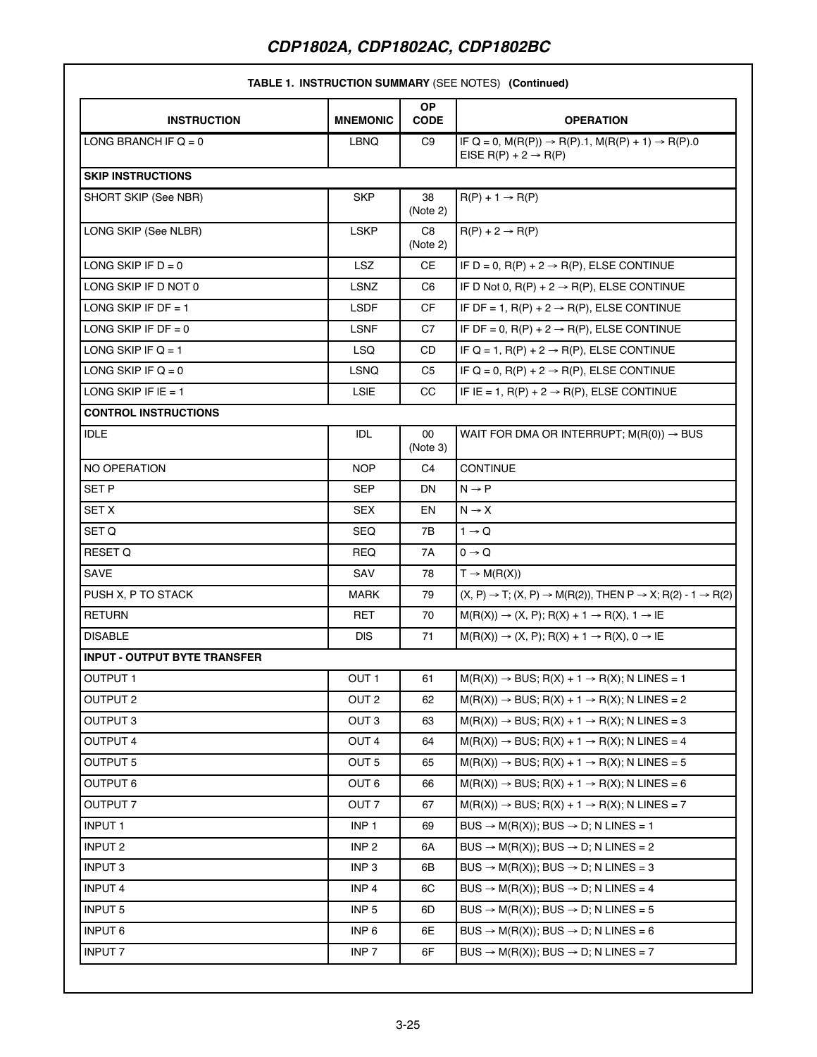#### **TABLE 1. INSTRUCTION SUMMARY** (SEE NOTES) **(Continued)**

| <b>INSTRUCTION</b>                  | <b>MNEMONIC</b>  | OP.<br><b>CODE</b> | <b>OPERATION</b>                                                                                             |
|-------------------------------------|------------------|--------------------|--------------------------------------------------------------------------------------------------------------|
| LONG BRANCH IF $Q = 0$              | LBNQ             | C <sub>9</sub>     | IF Q = 0, M(R(P)) $\rightarrow$ R(P).1, M(R(P) + 1) $\rightarrow$ R(P).0<br>EISE R(P) + $2 \rightarrow R(P)$ |
| <b>SKIP INSTRUCTIONS</b>            |                  |                    |                                                                                                              |
| SHORT SKIP (See NBR)                | <b>SKP</b>       | 38<br>(Note 2)     | $R(P) + 1 \rightarrow R(P)$                                                                                  |
| LONG SKIP (See NLBR)                | <b>LSKP</b>      | C8<br>(Note 2)     | $R(P) + 2 \rightarrow R(P)$                                                                                  |
| LONG SKIP IF $D = 0$                | <b>LSZ</b>       | <b>CE</b>          | IF D = 0, $R(P)$ + 2 $\rightarrow$ $R(P)$ , ELSE CONTINUE                                                    |
| LONG SKIP IF D NOT 0                | LSNZ             | C <sub>6</sub>     | IF D Not 0, $R(P) + 2 \rightarrow R(P)$ , ELSE CONTINUE                                                      |
| LONG SKIP IF DF = 1                 | <b>LSDF</b>      | <b>CF</b>          | IF DF = 1, $R(P)$ + 2 $\rightarrow$ $R(P)$ , ELSE CONTINUE                                                   |
| LONG SKIP IF $DF = 0$               | LSNF             | C7                 | IF DF = 0, $R(P)$ + 2 $\rightarrow$ $R(P)$ , ELSE CONTINUE                                                   |
| LONG SKIP IF $Q = 1$                | <b>LSQ</b>       | <b>CD</b>          | IF Q = 1, $R(P)$ + 2 $\rightarrow$ $R(P)$ , ELSE CONTINUE                                                    |
| LONG SKIP IF $Q = 0$                | <b>LSNQ</b>      | C <sub>5</sub>     | IF Q = 0, R(P) + 2 $\rightarrow$ R(P), ELSE CONTINUE                                                         |
| LONG SKIP IF $E = 1$                | <b>LSIE</b>      | CC.                | IF IE = 1, $R(P) + 2 \rightarrow R(P)$ , ELSE CONTINUE                                                       |
| <b>CONTROL INSTRUCTIONS</b>         |                  |                    |                                                                                                              |
| <b>IDLE</b>                         | IDL              | 00<br>(Note 3)     | WAIT FOR DMA OR INTERRUPT; $M(R(0)) \rightarrow BUS$                                                         |
| <b>NO OPERATION</b>                 | <b>NOP</b>       | C <sub>4</sub>     | <b>CONTINUE</b>                                                                                              |
| SET P                               | <b>SEP</b>       | DN.                | $N \rightarrow P$                                                                                            |
| <b>SET X</b>                        | <b>SEX</b>       | EN                 | $N \rightarrow X$                                                                                            |
| SET Q                               | <b>SEQ</b>       | 7В                 | $1 \rightarrow Q$                                                                                            |
| RESET Q                             | REQ              | 7A                 | $0 \rightarrow Q$                                                                                            |
| SAVE                                | SAV              | 78                 | $T \rightarrow M(R(X))$                                                                                      |
| PUSH X, P TO STACK                  | <b>MARK</b>      | 79                 | $(X, P) \rightarrow T$ ; $(X, P) \rightarrow M(R(2))$ , THEN $P \rightarrow X$ ; R(2) - 1 $\rightarrow R(2)$ |
| <b>RETURN</b>                       | RET              | 70                 | $M(R(X)) \rightarrow (X, P)$ ; R(X) + 1 $\rightarrow$ R(X), 1 $\rightarrow$ IE                               |
| <b>DISABLE</b>                      | <b>DIS</b>       | 71                 | $M(R(X)) \rightarrow (X, P); R(X) + 1 \rightarrow R(X), 0 \rightarrow I\Box$                                 |
| <b>INPUT - OUTPUT BYTE TRANSFER</b> |                  |                    |                                                                                                              |
| <b>OUTPUT 1</b>                     | OUT <sub>1</sub> | 61                 | $M(R(X)) \rightarrow BUS$ ; R(X) + 1 $\rightarrow R(X)$ ; N LINES = 1                                        |
| <b>OUTPUT 2</b>                     | OUT <sub>2</sub> | 62                 | $M(R(X)) \rightarrow BUS$ ; R(X) + 1 $\rightarrow$ R(X); N LINES = 2                                         |
| OUTPUT <sub>3</sub>                 | OUT <sub>3</sub> | 63                 | $M(R(X)) \rightarrow BUS$ ; R(X) + 1 $\rightarrow$ R(X); N LINES = 3                                         |
| OUTPUT 4                            | OUT <sub>4</sub> | 64                 | $M(R(X)) \rightarrow BUS$ ; R(X) + 1 $\rightarrow$ R(X); N LINES = 4                                         |
| <b>OUTPUT 5</b>                     | OUT <sub>5</sub> | 65                 | $M(R(X)) \rightarrow BUS$ ; R(X) + 1 $\rightarrow$ R(X); N LINES = 5                                         |
| <b>OUTPUT 6</b>                     | OUT <sub>6</sub> | 66                 | $M(R(X)) \rightarrow BUS$ ; R(X) + 1 $\rightarrow$ R(X); N LINES = 6                                         |
| <b>OUTPUT 7</b>                     | OUT <sub>7</sub> | 67                 | $M(R(X)) \rightarrow BUS$ ; R(X) + 1 $\rightarrow$ R(X); N LINES = 7                                         |
| <b>INPUT 1</b>                      | INP <sub>1</sub> | 69                 | $BUS \rightarrow M(R(X))$ ; BUS $\rightarrow$ D; N LINES = 1                                                 |
| <b>INPUT 2</b>                      | INP <sub>2</sub> | 6A                 | BUS $\rightarrow$ M(R(X)); BUS $\rightarrow$ D; N LINES = 2                                                  |
| <b>INPUT 3</b>                      | INP <sub>3</sub> | 6B                 | BUS $\rightarrow$ M(R(X)); BUS $\rightarrow$ D; N LINES = 3                                                  |
| <b>INPUT 4</b>                      | INP <sub>4</sub> | 6C                 | BUS $\rightarrow$ M(R(X)); BUS $\rightarrow$ D; N LINES = 4                                                  |
| <b>INPUT 5</b>                      | INP <sub>5</sub> | 6D                 | BUS $\rightarrow$ M(R(X)); BUS $\rightarrow$ D; N LINES = 5                                                  |
| <b>INPUT 6</b>                      | INP <sub>6</sub> | 6E                 | BUS $\rightarrow$ M(R(X)); BUS $\rightarrow$ D; N LINES = 6                                                  |
| <b>INPUT 7</b>                      | INP <sub>7</sub> | 6F                 | BUS $\rightarrow$ M(R(X)); BUS $\rightarrow$ D; N LINES = 7                                                  |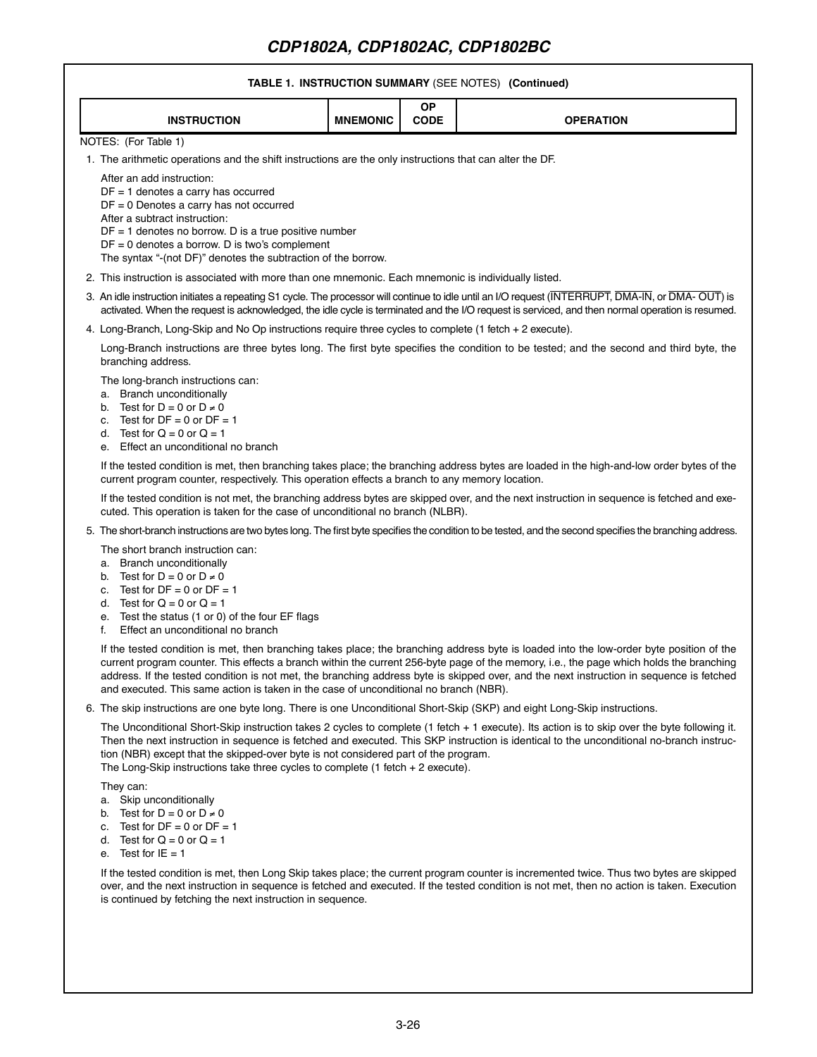# **TABLE 1. INSTRUCTION SUMMARY** (SEE NOTES) **(Continued)**

| <b>INSTRUCTION</b>                                                                                                                                                                                                                                                                                                                                                                                                                         | <b>MNEMONIC</b> | <b>OP</b><br><b>CODE</b> | <b>OPERATION</b>                                                                                                                                                                                                                                                                                                                                                                                                                |  |  |  |  |  |
|--------------------------------------------------------------------------------------------------------------------------------------------------------------------------------------------------------------------------------------------------------------------------------------------------------------------------------------------------------------------------------------------------------------------------------------------|-----------------|--------------------------|---------------------------------------------------------------------------------------------------------------------------------------------------------------------------------------------------------------------------------------------------------------------------------------------------------------------------------------------------------------------------------------------------------------------------------|--|--|--|--|--|
| NOTES: (For Table 1)                                                                                                                                                                                                                                                                                                                                                                                                                       |                 |                          |                                                                                                                                                                                                                                                                                                                                                                                                                                 |  |  |  |  |  |
| 1. The arithmetic operations and the shift instructions are the only instructions that can alter the DF.<br>After an add instruction:<br>$DF = 1$ denotes a carry has occurred<br>DF = 0 Denotes a carry has not occurred<br>After a subtract instruction:<br>$DF = 1$ denotes no borrow. D is a true positive number<br>$DF = 0$ denotes a borrow. D is two's complement<br>The syntax " (not DF)" denotes the subtraction of the borrow. |                 |                          |                                                                                                                                                                                                                                                                                                                                                                                                                                 |  |  |  |  |  |
| 2. This instruction is associated with more than one mnemonic. Each mnemonic is individually listed.                                                                                                                                                                                                                                                                                                                                       |                 |                          |                                                                                                                                                                                                                                                                                                                                                                                                                                 |  |  |  |  |  |
|                                                                                                                                                                                                                                                                                                                                                                                                                                            |                 |                          | 3. An idle instruction initiates a repeating S1 cycle. The processor will continue to idle until an I/O request (INTERRUPT, DMA-IN, or DMA-OUT) is<br>activated. When the request is acknowledged, the idle cycle is terminated and the I/O request is serviced, and then normal operation is resumed.                                                                                                                          |  |  |  |  |  |
| 4. Long-Branch, Long-Skip and No Op instructions require three cycles to complete (1 fetch + 2 execute).                                                                                                                                                                                                                                                                                                                                   |                 |                          |                                                                                                                                                                                                                                                                                                                                                                                                                                 |  |  |  |  |  |
| branching address.                                                                                                                                                                                                                                                                                                                                                                                                                         |                 |                          | Long-Branch instructions are three bytes long. The first byte specifies the condition to be tested; and the second and third byte, the                                                                                                                                                                                                                                                                                          |  |  |  |  |  |
| The long-branch instructions can:<br>a. Branch unconditionally<br>Test for $D = 0$ or $D \neq 0$<br>b.<br>c. Test for $DF = 0$ or $DF = 1$<br>d. Test for $Q = 0$ or $Q = 1$<br>Effect an unconditional no branch<br>е.                                                                                                                                                                                                                    |                 |                          |                                                                                                                                                                                                                                                                                                                                                                                                                                 |  |  |  |  |  |
| current program counter, respectively. This operation effects a branch to any memory location.                                                                                                                                                                                                                                                                                                                                             |                 |                          | If the tested condition is met, then branching takes place; the branching address bytes are loaded in the high-and-low order bytes of the                                                                                                                                                                                                                                                                                       |  |  |  |  |  |
| cuted. This operation is taken for the case of unconditional no branch (NLBR).                                                                                                                                                                                                                                                                                                                                                             |                 |                          | If the tested condition is not met, the branching address bytes are skipped over, and the next instruction in sequence is fetched and exe-                                                                                                                                                                                                                                                                                      |  |  |  |  |  |
|                                                                                                                                                                                                                                                                                                                                                                                                                                            |                 |                          | 5. The short-branch instructions are two bytes long. The first byte specifies the condition to be tested, and the second specifies the branching address.                                                                                                                                                                                                                                                                       |  |  |  |  |  |
| The short branch instruction can:<br>a. Branch unconditionally<br>b. Test for $D = 0$ or $D \neq 0$<br>c. Test for $DF = 0$ or $DF = 1$<br>d. Test for $Q = 0$ or $Q = 1$<br>Test the status (1 or 0) of the four EF flags<br>е.<br>Effect an unconditional no branch<br>f.                                                                                                                                                                |                 |                          |                                                                                                                                                                                                                                                                                                                                                                                                                                 |  |  |  |  |  |
| and executed. This same action is taken in the case of unconditional no branch (NBR).                                                                                                                                                                                                                                                                                                                                                      |                 |                          | If the tested condition is met, then branching takes place; the branching address byte is loaded into the low-order byte position of the<br>current program counter. This effects a branch within the current 256-byte page of the memory, i.e., the page which holds the branching<br>address. If the tested condition is not met, the branching address byte is skipped over, and the next instruction in sequence is fetched |  |  |  |  |  |
| 6. The skip instructions are one byte long. There is one Unconditional Short-Skip (SKP) and eight Long-Skip instructions.                                                                                                                                                                                                                                                                                                                  |                 |                          |                                                                                                                                                                                                                                                                                                                                                                                                                                 |  |  |  |  |  |
| tion (NBR) except that the skipped-over byte is not considered part of the program.<br>The Long-Skip instructions take three cycles to complete (1 fetch $+ 2$ execute).                                                                                                                                                                                                                                                                   |                 |                          | The Unconditional Short-Skip instruction takes 2 cycles to complete (1 fetch + 1 execute). Its action is to skip over the byte following it.<br>Then the next instruction in sequence is fetched and executed. This SKP instruction is identical to the unconditional no-branch instruc-                                                                                                                                        |  |  |  |  |  |
| They can:<br>a. Skip unconditionally<br>b. Test for $D = 0$ or $D \neq 0$<br>c. Test for $DF = 0$ or $DF = 1$<br>d. Test for $Q = 0$ or $Q = 1$<br>e. Test for $IE = 1$                                                                                                                                                                                                                                                                    |                 |                          |                                                                                                                                                                                                                                                                                                                                                                                                                                 |  |  |  |  |  |
| is continued by fetching the next instruction in sequence.                                                                                                                                                                                                                                                                                                                                                                                 |                 |                          | If the tested condition is met, then Long Skip takes place; the current program counter is incremented twice. Thus two bytes are skipped<br>over, and the next instruction in sequence is fetched and executed. If the tested condition is not met, then no action is taken. Execution                                                                                                                                          |  |  |  |  |  |
|                                                                                                                                                                                                                                                                                                                                                                                                                                            |                 |                          |                                                                                                                                                                                                                                                                                                                                                                                                                                 |  |  |  |  |  |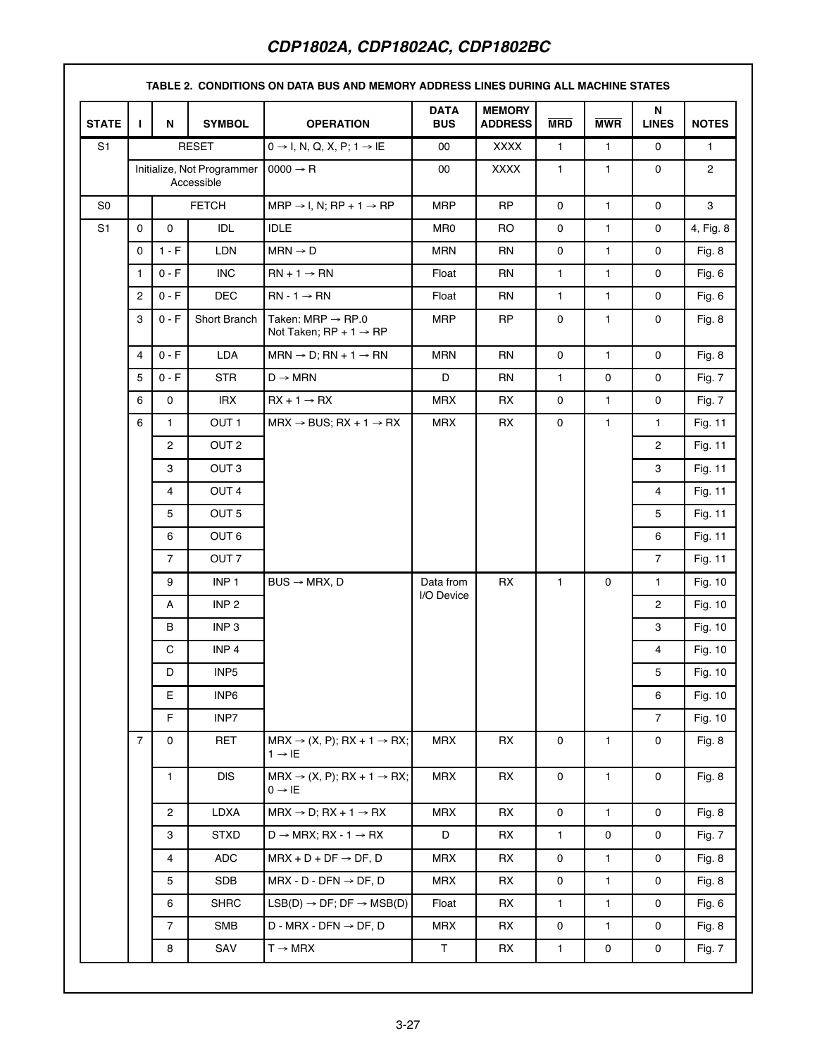| <b>STATE</b>   | $\mathbf{I}$                             | N              | <b>SYMBOL</b>    | <b>OPERATION</b>                                                                | <b>DATA</b><br><b>BUS</b> | <b>MEMORY</b><br><b>ADDRESS</b> | <b>MRD</b>   | <b>MWR</b>   | N<br><b>LINES</b> | <b>NOTES</b>   |
|----------------|------------------------------------------|----------------|------------------|---------------------------------------------------------------------------------|---------------------------|---------------------------------|--------------|--------------|-------------------|----------------|
| S <sub>1</sub> |                                          |                | <b>RESET</b>     | $0 \rightarrow I$ , N, Q, X, P; 1 $\rightarrow$ IE                              | 00                        | <b>XXXX</b>                     | $\mathbf{1}$ | $\mathbf{1}$ | 0                 | $\mathbf{1}$   |
|                | Initialize, Not Programmer<br>Accessible |                |                  | $0000 \rightarrow R$                                                            | 00                        | <b>XXXX</b>                     | $\mathbf{1}$ | $\mathbf{1}$ | 0                 | $\overline{2}$ |
| S <sub>0</sub> |                                          | <b>FETCH</b>   |                  | $MRP \rightarrow I$ , N; RP + 1 $\rightarrow RP$                                | <b>MRP</b>                | <b>RP</b>                       | 0            | $\mathbf{1}$ | 0                 | 3              |
| S <sub>1</sub> | 0                                        | 0              | IDL              | <b>IDLE</b>                                                                     | MR0                       | RO.                             | 0            | $\mathbf{1}$ | 0                 | 4, Fig. 8      |
|                | 0                                        | $1 - F$        | <b>LDN</b>       | $MRN \rightarrow D$                                                             | <b>MRN</b>                | <b>RN</b>                       | 0            | $\mathbf{1}$ | 0                 | Fig. 8         |
|                | $\mathbf{1}$                             | $0 - F$        | <b>INC</b>       | $RN + 1 \rightarrow RN$                                                         | Float                     | <b>RN</b>                       | 1            | $\mathbf{1}$ | 0                 | Fig. 6         |
|                | 2                                        | $0 - F$        | <b>DEC</b>       | $RN - 1 \rightarrow RN$                                                         | Float                     | <b>RN</b>                       | $\mathbf{1}$ | 1            | 0                 | Fig. 6         |
|                | 3                                        | $0 - F$        | Short Branch     | Taken: $MRP \rightarrow RP.0$<br>Not Taken; $RP + 1 \rightarrow RP$             | <b>MRP</b>                | <b>RP</b>                       | 0            | $\mathbf{1}$ | 0                 | Fig. 8         |
|                | 4                                        | $0 - F$        | <b>LDA</b>       | $MRN \rightarrow D$ ; $RN + 1 \rightarrow RN$                                   | <b>MRN</b>                | <b>RN</b>                       | 0            | $\mathbf{1}$ | 0                 | Fig. 8         |
|                | 5                                        | $0 - F$        | <b>STR</b>       | $D \rightarrow MRN$                                                             | D                         | <b>RN</b>                       | 1            | $\mathbf 0$  | 0                 | Fig. 7         |
|                | 6                                        | 0              | <b>IRX</b>       | $RX + 1 \rightarrow RX$                                                         | <b>MRX</b>                | RX                              | 0            | $\mathbf{1}$ | 0                 | Fig. 7         |
|                | 6                                        | $\mathbf{1}$   | OUT <sub>1</sub> | $MRX \rightarrow BUS$ ; RX + 1 $\rightarrow RX$                                 | <b>MRX</b>                | <b>RX</b>                       | 0            | $\mathbf{1}$ | $\mathbf{1}$      | Fig. 11        |
|                |                                          | $\overline{2}$ | OUT <sub>2</sub> |                                                                                 |                           |                                 |              |              | $\overline{2}$    | Fig. 11        |
|                |                                          | 3              | OUT <sub>3</sub> |                                                                                 |                           |                                 |              |              | 3                 | Fig. 11        |
|                |                                          | 4              | OUT <sub>4</sub> | $BUS \rightarrow MRX, D$                                                        |                           |                                 |              |              | $\overline{4}$    | Fig. 11        |
|                |                                          | 5              | OUT <sub>5</sub> |                                                                                 |                           |                                 |              |              | 5                 | Fig. 11        |
|                |                                          | 6              | OUT <sub>6</sub> |                                                                                 |                           |                                 |              |              | 6                 | Fig. 11        |
|                |                                          | $\overline{7}$ | OUT <sub>7</sub> |                                                                                 |                           |                                 |              |              | $\overline{7}$    | Fig. 11        |
|                |                                          | 9              | INP <sub>1</sub> |                                                                                 | Data from<br>I/O Device   | RX                              | $\mathbf{1}$ | $\mathbf 0$  | $\mathbf{1}$      | Fig. 10        |
|                |                                          | Α              | INP <sub>2</sub> |                                                                                 |                           |                                 |              |              | $\overline{2}$    | Fig. 10        |
|                |                                          | В              | INP <sub>3</sub> |                                                                                 |                           |                                 |              |              | 3                 | Fig. 10        |
|                |                                          | C              | INP <sub>4</sub> |                                                                                 |                           |                                 |              |              | $\overline{4}$    | Fig. 10        |
|                |                                          | D              | INP <sub>5</sub> |                                                                                 |                           |                                 |              |              | 5                 | Fig. 10        |
|                |                                          | Е              | INP6             |                                                                                 |                           |                                 |              |              | 6                 | Fig. 10        |
|                |                                          | F              | INP7             |                                                                                 |                           |                                 |              |              | $\overline{7}$    | Fig. 10        |
|                | $\overline{7}$                           | 0              | <b>RET</b>       | $MRX \rightarrow (X, P); RX + 1 \rightarrow RX;$<br>$1 \rightarrow \mathsf{IE}$ | <b>MRX</b>                | <b>RX</b>                       | 0            | $\mathbf{1}$ | 0                 | Fig. 8         |
|                |                                          | 1              | <b>DIS</b>       | $MRX \rightarrow (X, P); RX + 1 \rightarrow RX;$<br>$0 \rightarrow \mathsf{IE}$ | <b>MRX</b>                | RX                              | 0            | $\mathbf{1}$ | 0                 | Fig. 8         |
|                |                                          | $\overline{2}$ | <b>LDXA</b>      | $MRX \rightarrow D$ ; RX + 1 $\rightarrow$ RX                                   | <b>MRX</b>                | <b>RX</b>                       | 0            | $\mathbf{1}$ | 0                 | Fig. 8         |
|                |                                          | 3              | <b>STXD</b>      | $D \rightarrow MRX$ ; RX - 1 $\rightarrow RX$                                   | D                         | RX                              | $\mathbf{1}$ | $\mathbf 0$  | 0                 | Fig. 7         |
|                |                                          | 4              | ADC              | $MRX + D + DF \rightarrow DF, D$                                                | <b>MRX</b>                | RX                              | 0            | $\mathbf{1}$ | 0                 | Fig. 8         |
|                |                                          | 5              | <b>SDB</b>       | $MRX - D - DFN \rightarrow DF, D$                                               | <b>MRX</b>                | RX                              | 0            | 1            | 0                 | Fig. 8         |
|                |                                          | 6              | <b>SHRC</b>      | $LSB(D) \rightarrow DF$ ; DF $\rightarrow$ MSB(D)                               | Float                     | RX                              | 1            | $\mathbf{1}$ | 0                 | Fig. $6$       |
|                |                                          | $\overline{7}$ | <b>SMB</b>       | $D$ - MRX - DFN $\rightarrow$ DF, D                                             | <b>MRX</b>                | RX                              | 0            | $\mathbf{1}$ | 0                 | Fig. 8         |
|                |                                          | 8              | SAV              | $T \rightarrow MRX$                                                             | T                         | RX                              | 1            | $\mathbf 0$  | 0                 | Fig. 7         |

# **TABLE 2. CONDITIONS ON DATA BUS AND MEMORY ADDRESS LINES DURING ALL MACHINE STATES**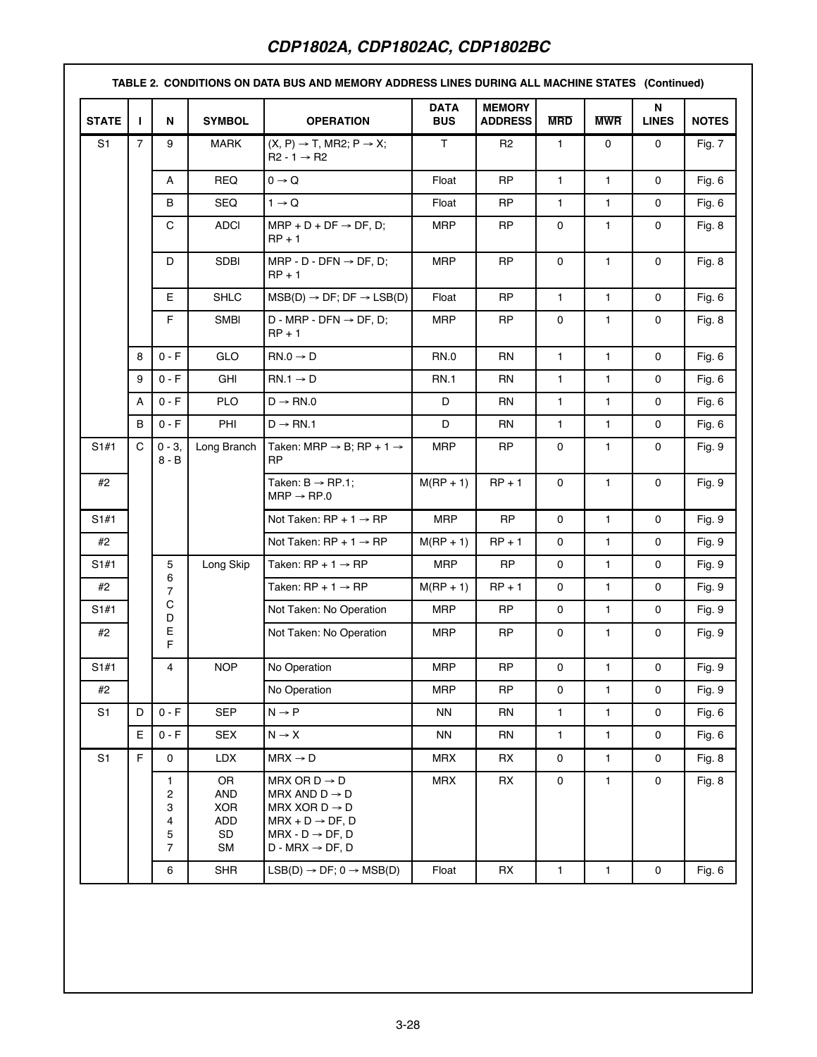| <b>STATE</b>   | п              | N                                       | <b>SYMBOL</b>                              | <b>OPERATION</b>                                                                                                                                                                  | <b>DATA</b><br><b>BUS</b> | <b>MEMORY</b><br><b>ADDRESS</b> | <b>MRD</b>   | <b>MWR</b>   | N<br><b>LINES</b>   | <b>NOTES</b> |
|----------------|----------------|-----------------------------------------|--------------------------------------------|-----------------------------------------------------------------------------------------------------------------------------------------------------------------------------------|---------------------------|---------------------------------|--------------|--------------|---------------------|--------------|
| S <sub>1</sub> | $\overline{7}$ | 9                                       | <b>MARK</b>                                | $(X, P) \rightarrow T$ , MR2; $P \rightarrow X$ ;<br>$R2 - 1 \rightarrow R2$                                                                                                      | T.                        | R <sub>2</sub>                  | $\mathbf{1}$ | 0            | $\mathbf 0$         | Fig. 7       |
|                |                | Α                                       | <b>REQ</b>                                 | $0 \rightarrow Q$                                                                                                                                                                 | Float                     | <b>RP</b>                       | $\mathbf{1}$ | $\mathbf{1}$ | $\mathbf 0$         | Fig. 6       |
|                |                | B                                       | SEQ                                        | $1 \rightarrow Q$                                                                                                                                                                 | Float                     | <b>RP</b>                       | 1            | 1            | $\mathbf 0$         | Fig. 6       |
|                |                | C                                       | <b>ADCI</b>                                | $MRP + D + DF \rightarrow DF, D;$<br>$RP + 1$                                                                                                                                     | <b>MRP</b>                | <b>RP</b>                       | 0            | 1            | 0                   | Fig. 8       |
|                |                | D                                       | <b>SDBI</b>                                | MRP - D - DFN $\rightarrow$ DF, D;<br>$RP + 1$                                                                                                                                    | <b>MRP</b>                | <b>RP</b>                       | 0            | $\mathbf{1}$ | 0                   | Fig. 8       |
|                |                | E                                       | <b>SHLC</b>                                | $MSB(D) \rightarrow DF$ ; DF $\rightarrow$ LSB(D)                                                                                                                                 | Float                     | <b>RP</b>                       | $\mathbf{1}$ | $\mathbf{1}$ | 0                   | Fig. 6       |
|                |                | F.                                      | <b>SMBI</b>                                | $D$ - MRP - DFN $\rightarrow$ DF, D;<br>$RP + 1$                                                                                                                                  | <b>MRP</b>                | <b>RP</b>                       | 0            | $\mathbf{1}$ | $\mathbf 0$         | Fig. 8       |
|                | 8              | $0 - F$                                 | GLO                                        | $RN.0 \rightarrow D$                                                                                                                                                              | <b>RN.0</b>               | <b>RN</b>                       | $\mathbf{1}$ | $\mathbf{1}$ | $\mathbf 0$         | Fig. 6       |
|                | 9              | $0 - F$                                 | GHI                                        | $RN.1 \rightarrow D$                                                                                                                                                              | <b>RN.1</b>               | <b>RN</b>                       | 1            | 1            | $\mathbf 0$         | Fig. 6       |
|                | Α              | $0 - F$                                 | <b>PLO</b>                                 | $D \rightarrow RN.0$                                                                                                                                                              | D                         | <b>RN</b>                       | 1            | 1            | 0                   | Fig. 6       |
|                | B              | $0 - F$                                 | PHI                                        | $D \rightarrow RN.1$                                                                                                                                                              | D                         | RN                              | 1            | $\mathbf{1}$ | $\mathbf 0$         | Fig. 6       |
| S1#1           | C              | $0 - 3,$<br>$8 - B$                     | Long Branch                                | Taken: MRP $\rightarrow$ B; RP + 1 $\rightarrow$<br><b>RP</b>                                                                                                                     | <b>MRP</b>                | <b>RP</b>                       | 0            | $\mathbf{1}$ | 0                   | Fig. 9       |
| #2             |                |                                         |                                            | Taken: $B \rightarrow RP.1$ ;<br>$MRP \rightarrow RP.0$                                                                                                                           | $M(RP + 1)$               | $RP + 1$                        | $\mathbf 0$  | 1            | $\mathbf 0$         | Fig. 9       |
| S1#1           |                |                                         |                                            | Not Taken: $RP + 1 \rightarrow RP$                                                                                                                                                | <b>MRP</b>                | <b>RP</b>                       | $\mathbf 0$  | $\mathbf{1}$ | $\mathbf 0$         | Fig. 9       |
| #2             |                |                                         |                                            | Not Taken: $RP + 1 \rightarrow RP$                                                                                                                                                | $M(RP + 1)$               | $RP + 1$                        | 0            | $\mathbf{1}$ | $\mathbf 0$         | Fig. 9       |
| S1#1           |                | 5                                       | Long Skip                                  | Taken: $RP + 1 \rightarrow RP$                                                                                                                                                    | <b>MRP</b>                | <b>RP</b>                       | $\mathbf 0$  | $\mathbf{1}$ | $\mathbf 0$         | Fig. 9       |
| #2             |                | 6<br>7                                  |                                            | Taken: $RP + 1 \rightarrow RP$                                                                                                                                                    | $M(RP + 1)$               | $RP + 1$                        | $\mathbf 0$  | 1            | $\mathbf 0$         | Fig. 9       |
| S1#1           |                | C<br>D                                  |                                            | Not Taken: No Operation                                                                                                                                                           | <b>MRP</b>                | RP                              | 0            | 1            | 0                   | Fig. 9       |
| #2             |                | Е<br>F                                  |                                            | Not Taken: No Operation                                                                                                                                                           | <b>MRP</b>                | <b>RP</b>                       | 0            | $\mathbf{1}$ | $\mathbf 0$         | Fig. 9       |
| S1#1           |                | 4                                       | <b>NOP</b>                                 | No Operation                                                                                                                                                                      | <b>MRP</b>                | <b>RP</b>                       | 0            | $\mathbf{1}$ | 0                   | Fig. 9       |
| #2             |                |                                         |                                            | No Operation                                                                                                                                                                      | <b>MRP</b>                | <b>RP</b>                       | 0            | $\mathbf{1}$ | 0                   | Fig. 9       |
| S <sub>1</sub> | D              | $0 - F$                                 | <b>SEP</b>                                 | $N \rightarrow P$                                                                                                                                                                 | <b>NN</b>                 | <b>RN</b>                       | 1            | $\mathbf{1}$ | 0                   | Fig. 6       |
|                | E              | $0 - F$                                 | <b>SEX</b>                                 | $N \rightarrow X$                                                                                                                                                                 | <b>NN</b>                 | <b>RN</b>                       | $\mathbf{1}$ | $\mathbf{1}$ | $\mathbf 0$         | Fig. $6$     |
| S <sub>1</sub> | F              | $\mathbf 0$                             | <b>LDX</b>                                 | $MRX \rightarrow D$                                                                                                                                                               | <b>MRX</b>                | RX                              | 0            | $\mathbf{1}$ | 0                   | Fig. 8       |
|                |                | 1<br>$\overline{c}$<br>3<br>4<br>5<br>7 | OR<br>AND<br><b>XOR</b><br>ADD<br>SD<br>SM | MRX OR $D \rightarrow D$<br>MRX AND $D \rightarrow D$<br>MRX XOR $D \rightarrow D$<br>$MRX + D \rightarrow DF, D$<br>$MRX - D \rightarrow DF, D$<br>$D$ - MRX $\rightarrow$ DF, D | <b>MRX</b>                | RX                              | $\mathbf 0$  | $\mathbf{1}$ | $\mathbf 0$         | Fig. 8       |
|                |                | 6                                       | <b>SHR</b>                                 | $LSB(D) \rightarrow DF$ ; 0 $\rightarrow MSB(D)$                                                                                                                                  | Float                     | RX                              | $\mathbf{1}$ | $\mathbf{1}$ | $\mathsf{O}\xspace$ | Fig. 6       |